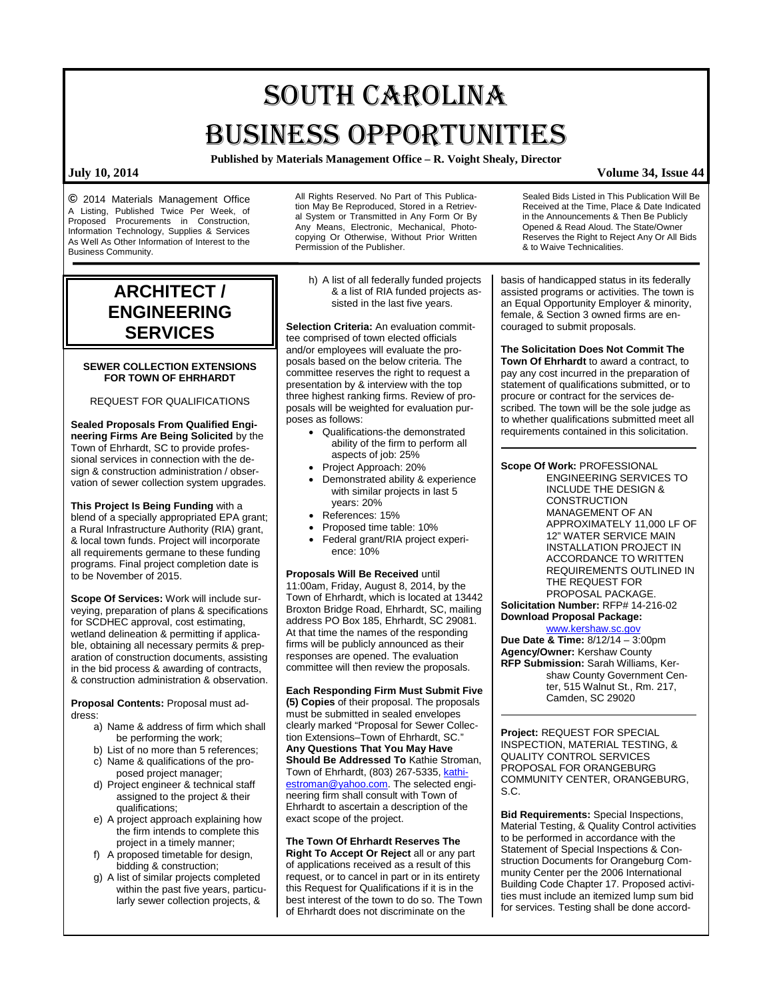# SOUTH CAROLINA BUSINESS OPPORTUNITIES

**Published by Materials Management Office – R. Voight Shealy, Director**

**©** 2014 Materials Management Office A Listing, Published Twice Per Week, of Proposed Procurements in Construction, Information Technology, Supplies & Services As Well As Other Information of Interest to the Business Community.

## **ARCHITECT / ENGINEERING SERVICES**

#### **SEWER COLLECTION EXTENSIONS FOR TOWN OF EHRHARDT**

REQUEST FOR QUALIFICATIONS

**Sealed Proposals From Qualified Engineering Firms Are Being Solicited** by the Town of Ehrhardt, SC to provide professional services in connection with the design & construction administration / observation of sewer collection system upgrades.

**This Project Is Being Funding** with a blend of a specially appropriated EPA grant; a Rural Infrastructure Authority (RIA) grant, & local town funds. Project will incorporate all requirements germane to these funding programs. Final project completion date is to be November of 2015.

**Scope Of Services:** Work will include surveying, preparation of plans & specifications for SCDHEC approval, cost estimating, wetland delineation & permitting if applicable, obtaining all necessary permits & preparation of construction documents, assisting in the bid process & awarding of contracts, & construction administration & observation.

**Proposal Contents:** Proposal must address:

- a) Name & address of firm which shall be performing the work;
- b) List of no more than 5 references; c) Name & qualifications of the pro-
- posed project manager;
- d) Project engineer & technical staff assigned to the project & their qualifications;
- e) A project approach explaining how the firm intends to complete this project in a timely manner;
- f) A proposed timetable for design, bidding & construction;
- g) A list of similar projects completed within the past five years, particularly sewer collection projects, &

All Rights Reserved. No Part of This Publication May Be Reproduced, Stored in a Retrieval System or Transmitted in Any Form Or By Any Means, Electronic, Mechanical, Photocopying Or Otherwise, Without Prior Written Permission of the Publisher.

h) A list of all federally funded projects & a list of RIA funded projects assisted in the last five years.

**Selection Criteria:** An evaluation committee comprised of town elected officials and/or employees will evaluate the proposals based on the below criteria. The committee reserves the right to request a presentation by & interview with the top three highest ranking firms. Review of proposals will be weighted for evaluation purposes as follows:

- Qualifications-the demonstrated ability of the firm to perform all aspects of job: 25%
- Project Approach: 20%
- Demonstrated ability & experience with similar projects in last 5 years: 20%
- References: 15%
- Proposed time table: 10%
- Federal grant/RIA project experience: 10%

**Proposals Will Be Received** until 11:00am, Friday, August 8, 2014, by the Town of Ehrhardt, which is located at 13442 Broxton Bridge Road, Ehrhardt, SC, mailing address PO Box 185, Ehrhardt, SC 29081. At that time the names of the responding firms will be publicly announced as their responses are opened. The evaluation committee will then review the proposals.

**Each Responding Firm Must Submit Five (5) Copies** of their proposal. The proposals must be submitted in sealed envelopes clearly marked "Proposal for Sewer Collection Extensions–Town of Ehrhardt, SC." **Any Questions That You May Have Should Be Addressed To** Kathie Stroman, Town of Ehrhardt, (803) 267-5335[, kathi](mailto:kathiestroman@yahoo.com)[estroman@yahoo.com.](mailto:kathiestroman@yahoo.com) The selected engineering firm shall consult with Town of Ehrhardt to ascertain a description of the exact scope of the project.

**The Town Of Ehrhardt Reserves The Right To Accept Or Reject** all or any part of applications received as a result of this request, or to cancel in part or in its entirety this Request for Qualifications if it is in the best interest of the town to do so. The Town of Ehrhardt does not discriminate on the

Sealed Bids Listed in This Publication Will Be Received at the Time, Place & Date Indicated in the Announcements & Then Be Publicly Opened & Read Aloud. The State/Owner Reserves the Right to Reject Any Or All Bids & to Waive Technicalities.

basis of handicapped status in its federally assisted programs or activities. The town is an Equal Opportunity Employer & minority, female, & Section 3 owned firms are encouraged to submit proposals.

**The Solicitation Does Not Commit The Town Of Ehrhardt** to award a contract, to pay any cost incurred in the preparation of statement of qualifications submitted, or to procure or contract for the services described. The town will be the sole judge as to whether qualifications submitted meet all requirements contained in this solicitation.

**Scope Of Work:** PROFESSIONAL ENGINEERING SERVICES TO INCLUDE THE DESIGN & **CONSTRUCTION** MANAGEMENT OF AN APPROXIMATELY 11,000 LF OF 12" WATER SERVICE MAIN INSTALLATION PROJECT IN ACCORDANCE TO WRITTEN REQUIREMENTS OUTLINED IN THE REQUEST FOR PROPOSAL PACKAGE. **Solicitation Number:** RFP# 14-216-02 **Download Proposal Package:**

### [www.kershaw.sc.gov](http://www.kershaw.sc.gov/)

**Due Date & Time:** 8/12/14 – 3:00pm **Agency/Owner:** Kershaw County **RFP Submission:** Sarah Williams, Kershaw County Government Center, 515 Walnut St., Rm. 217, Camden, SC 29020

**Project:** REQUEST FOR SPECIAL INSPECTION, MATERIAL TESTING, & QUALITY CONTROL SERVICES PROPOSAL FOR ORANGEBURG COMMUNITY CENTER, ORANGEBURG, S.C.

**Bid Requirements:** Special Inspections, Material Testing, & Quality Control activities to be performed in accordance with the Statement of Special Inspections & Construction Documents for Orangeburg Community Center per the 2006 International Building Code Chapter 17. Proposed activities must include an itemized lump sum bid for services. Testing shall be done accord-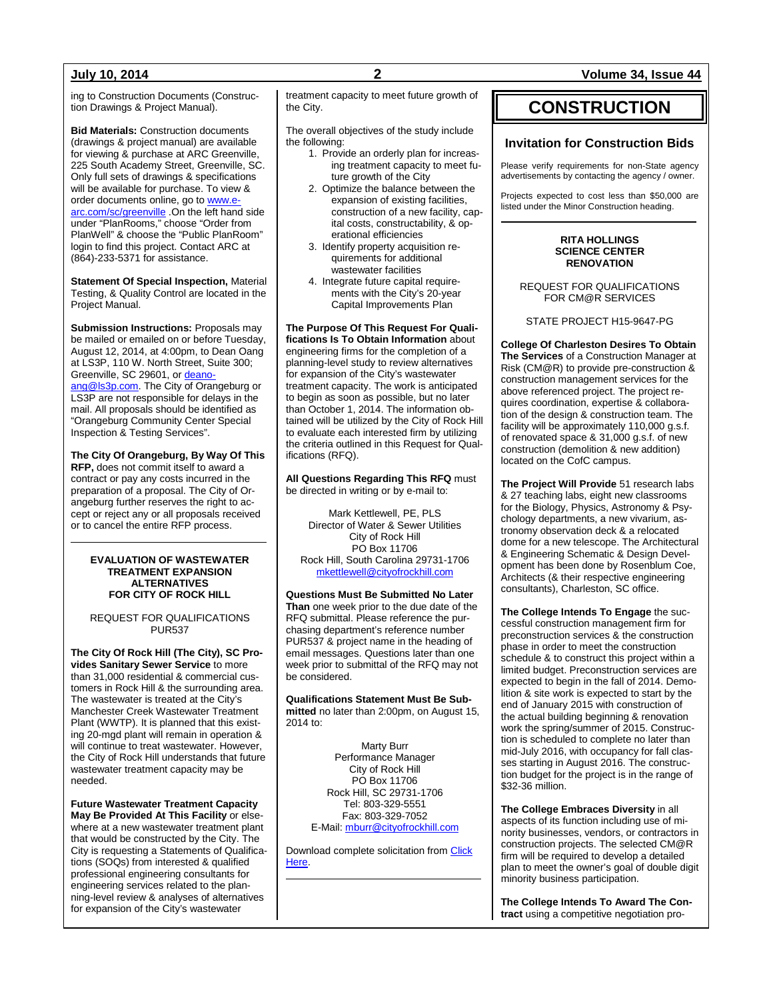ing to Construction Documents (Construction Drawings & Project Manual).

**Bid Materials:** Construction documents (drawings & project manual) are available for viewing & purchase at ARC Greenville, 225 South Academy Street, Greenville, SC. Only full sets of drawings & specifications will be available for purchase. To view & order documents online, go t[o www.e](http://www.e-arc.com/sc/greenville)[arc.com/sc/greenville](http://www.e-arc.com/sc/greenville) .On the left hand side under "PlanRooms," choose "Order from PlanWell" & choose the "Public PlanRoom" login to find this project. Contact ARC at (864)-233-5371 for assistance.

**Statement Of Special Inspection,** Material Testing, & Quality Control are located in the Project Manual.

**Submission Instructions:** Proposals may be mailed or emailed on or before Tuesday, August 12, 2014, at 4:00pm, to Dean Oang at LS3P, 110 W. North Street, Suite 300; Greenville, SC 29601, or [deano](mailto:deanoang@ls3p.com)[ang@ls3p.com.](mailto:deanoang@ls3p.com) The City of Orangeburg or LS3P are not responsible for delays in the mail. All proposals should be identified as "Orangeburg Community Center Special Inspection & Testing Services".

**The City Of Orangeburg, By Way Of This RFP,** does not commit itself to award a contract or pay any costs incurred in the preparation of a proposal. The City of Orangeburg further reserves the right to accept or reject any or all proposals received or to cancel the entire RFP process.

#### **EVALUATION OF WASTEWATER TREATMENT EXPANSION ALTERNATIVES FOR CITY OF ROCK HILL**

REQUEST FOR QUALIFICATIONS PUR537

**The City Of Rock Hill (The City), SC Provides Sanitary Sewer Service** to more than 31,000 residential & commercial customers in Rock Hill & the surrounding area. The wastewater is treated at the City's Manchester Creek Wastewater Treatment Plant (WWTP). It is planned that this existing 20-mgd plant will remain in operation & will continue to treat wastewater. However, the City of Rock Hill understands that future wastewater treatment capacity may be needed.

**Future Wastewater Treatment Capacity May Be Provided At This Facility** or elsewhere at a new wastewater treatment plant that would be constructed by the City. The City is requesting a Statements of Qualifications (SOQs) from interested & qualified professional engineering consultants for engineering services related to the planning-level review & analyses of alternatives for expansion of the City's wastewater

treatment capacity to meet future growth of the City.

The overall objectives of the study include the following:

- 1. Provide an orderly plan for increasing treatment capacity to meet future growth of the City
- 2. Optimize the balance between the expansion of existing facilities, construction of a new facility, capital costs, constructability, & operational efficiencies
- 3. Identify property acquisition requirements for additional wastewater facilities
- 4. Integrate future capital requirements with the City's 20-year Capital Improvements Plan

**The Purpose Of This Request For Qualifications Is To Obtain Information** about engineering firms for the completion of a planning-level study to review alternatives for expansion of the City's wastewater treatment capacity. The work is anticipated to begin as soon as possible, but no later than October 1, 2014. The information obtained will be utilized by the City of Rock Hill to evaluate each interested firm by utilizing the criteria outlined in this Request for Qualifications (RFQ).

**All Questions Regarding This RFQ** must be directed in writing or by e-mail to:

Mark Kettlewell, PE, PLS Director of Water & Sewer Utilities City of Rock Hill PO Box 11706 Rock Hill, South Carolina 29731-1706 [mkettlewell@cityofrockhill.com](mailto:mkettlewell@cityofrockhill.com)

**Questions Must Be Submitted No Later Than** one week prior to the due date of the RFQ submittal. Please reference the purchasing department's reference number PUR537 & project name in the heading of email messages. Questions later than one week prior to submittal of the RFQ may not be considered.

**Qualifications Statement Must Be Submitted** no later than 2:00pm, on August 15, 2014 to:

> Marty Burr Performance Manager City of Rock Hill PO Box 11706 Rock Hill, SC 29731-1706 Tel: 803-329-5551 Fax: 803-329-7052 E-Mail[: mburr@cityofrockhill.com](mailto:mburr@cityofrockhill.com)

Download complete solicitation from [Click](http://cityofrockhill.com/departments/general-government/purchasing/bids-proposal-requests)  [Here.](http://cityofrockhill.com/departments/general-government/purchasing/bids-proposal-requests)

### **July 10, 2014 2 Volume 34, Issue 44**

## **CONSTRUCTION**

### **Invitation for Construction Bids**

Please verify requirements for non-State agency advertisements by contacting the agency / owner.

Projects expected to cost less than \$50,000 are listed under the Minor Construction heading.

#### **RITA HOLLINGS SCIENCE CENTER RENOVATION**

REQUEST FOR QUALIFICATIONS FOR CM@R SERVICES

STATE PROJECT H15-9647-PG

**College Of Charleston Desires To Obtain The Services** of a Construction Manager at Risk (CM@R) to provide pre-construction & construction management services for the above referenced project. The project requires coordination, expertise & collaboration of the design & construction team. The facility will be approximately 110,000 g.s.f. of renovated space & 31,000 g.s.f. of new construction (demolition & new addition) located on the CofC campus.

**The Project Will Provide** 51 research labs & 27 teaching labs, eight new classrooms for the Biology, Physics, Astronomy & Psychology departments, a new vivarium, astronomy observation deck & a relocated dome for a new telescope. The Architectural & Engineering Schematic & Design Development has been done by Rosenblum Coe, Architects (& their respective engineering consultants), Charleston, SC office.

**The College Intends To Engage** the successful construction management firm for preconstruction services & the construction phase in order to meet the construction schedule & to construct this project within a limited budget. Preconstruction services are expected to begin in the fall of 2014. Demolition & site work is expected to start by the end of January 2015 with construction of the actual building beginning & renovation work the spring/summer of 2015. Construction is scheduled to complete no later than mid-July 2016, with occupancy for fall classes starting in August 2016. The construction budget for the project is in the range of \$32-36 million.

**The College Embraces Diversity** in all aspects of its function including use of minority businesses, vendors, or contractors in construction projects. The selected CM@R firm will be required to develop a detailed plan to meet the owner's goal of double digit minority business participation.

**The College Intends To Award The Contract** using a competitive negotiation pro-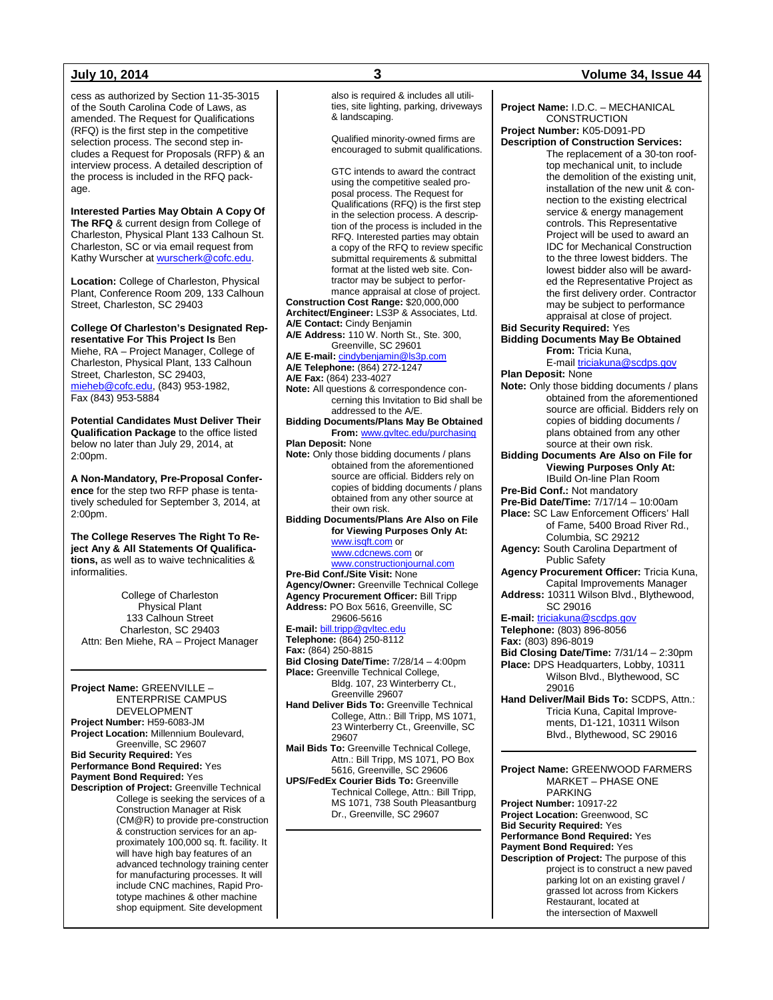cess as authorized by Section 11-35-3015 of the South Carolina Code of Laws, as amended. The Request for Qualifications (RFQ) is the first step in the competitive selection process. The second step includes a Request for Proposals (RFP) & an interview process. A detailed description of the process is included in the RFQ package.

**Interested Parties May Obtain A Copy Of The RFQ** & current design from College of Charleston, Physical Plant 133 Calhoun St. Charleston, SC or via email request from Kathy Wurscher a[t wurscherk@cofc.edu.](mailto:wurscherk@cofc.edu)

**Location:** College of Charleston, Physical Plant, Conference Room 209, 133 Calhoun Street, Charleston, SC 29403

**College Of Charleston's Designated Representative For This Project Is** Ben Miehe, RA – Project Manager, College of Charleston, Physical Plant, 133 Calhoun Street, Charleston, SC 29403, [mieheb@cofc.edu,](mailto:mieheb@cofc.edu) (843) 953-1982, Fax (843) 953-5884

**Potential Candidates Must Deliver Their Qualification Package** to the office listed below no later than July 29, 2014, at 2:00pm.

**A Non-Mandatory, Pre-Proposal Conference** for the step two RFP phase is tentatively scheduled for September 3, 2014, at 2:00pm.

**The College Reserves The Right To Reject Any & All Statements Of Qualifications,** as well as to waive technicalities & informalities.

College of Charleston Physical Plant 133 Calhoun Street Charleston, SC 29403 Attn: Ben Miehe, RA – Project Manager

**Project Name:** GREENVILLE – ENTERPRISE CAMPUS DEVELOPMENT **Project Number:** H59-6083-JM **Project Location:** Millennium Boulevard, Greenville, SC 29607 **Bid Security Required:** Yes **Performance Bond Required:** Yes **Payment Bond Required:** Yes **Description of Project:** Greenville Technical College is seeking the services of a Construction Manager at Risk (CM@R) to provide pre-construction & construction services for an approximately 100,000 sq. ft. facility. It will have high bay features of an advanced technology training center for manufacturing processes. It will include CNC machines, Rapid Prototype machines & other machine shop equipment. Site development

also is required & includes all utilities, site lighting, parking, driveways & landscaping. Qualified minority-owned firms are encouraged to submit qualifications. GTC intends to award the contract using the competitive sealed proposal process. The Request for Qualifications (RFQ) is the first step in the selection process. A description of the process is included in the RFQ. Interested parties may obtain a copy of the RFQ to review specific submittal requirements & submittal format at the listed web site. Contractor may be subject to performance appraisal at close of project. **Construction Cost Range:** \$20,000,000 **Architect/Engineer:** LS3P & Associates, Ltd. **A/E Contact:** Cindy Benjamin **A/E Address:** 110 W. North St., Ste. 300, Greenville, SC 29601 **A/E E-mail:** [cindybenjamin@ls3p.com](mailto:cindybenjamin@ls3p.com) **A/E Telephone:** (864) 272-1247 **A/E Fax:** (864) 233-4027 **Note:** All questions & correspondence concerning this Invitation to Bid shall be addressed to the A/E. **Bidding Documents/Plans May Be Obtained From:** [www.gvltec.edu/purchasing](http://www.gvltec.edu/purchasing) **Plan Deposit:** None **Note:** Only those bidding documents / plans obtained from the aforementioned source are official. Bidders rely on copies of bidding documents / plans obtained from any other source at their own risk. **Bidding Documents/Plans Are Also on File for Viewing Purposes Only At:** [www.isqft.com](http://www.isqft.com/) or [www.cdcnews.com](http://www.cdcnews.com/) or [www.constructionjournal.com](http://www.constructionjournal.com/) **Pre-Bid Conf./Site Visit:** None **Agency/Owner:** Greenville Technical College **Agency Procurement Officer:** Bill Tripp **Address:** PO Box 5616, Greenville, SC 29606-5616 **E-mail:** bill.tripp@gvltec.e **Telephone:** (864) 250-8112 **Fax:** (864) 250-8815 **Bid Closing Date/Time:** 7/28/14 – 4:00pm **Place:** Greenville Technical College, Bldg. 107, 23 Winterberry Ct., Greenville 29607 **Hand Deliver Bids To:** Greenville Technical College, Attn.: Bill Tripp, MS 1071, 23 Winterberry Ct., Greenville, SC 29607 **Mail Bids To:** Greenville Technical College, Attn.: Bill Tripp, MS 1071, PO Box 5616, Greenville, SC 29606 **UPS/FedEx Courier Bids To:** Greenville Technical College, Attn.: Bill Tripp, MS 1071, 738 South Pleasantburg Dr., Greenville, SC 29607

#### **July 10, 2014 3 Volume 34, Issue 44**

**Project Name:** I.D.C. – MECHANICAL **CONSTRUCTION Project Number:** K05-D091-PD **Description of Construction Services:** The replacement of a 30-ton rooftop mechanical unit, to include the demolition of the existing unit, installation of the new unit & connection to the existing electrical service & energy management controls. This Representative Project will be used to award an IDC for Mechanical Construction to the three lowest bidders. The lowest bidder also will be awarded the Representative Project as the first delivery order. Contractor may be subject to performance appraisal at close of project. **Bid Security Required:** Yes **Bidding Documents May Be Obtained From:** Tricia Kuna, E-mai[l triciakuna@scdps.gov](mailto:triciakuna@scdps.gov) **Plan Deposit:** None **Note:** Only those bidding documents / plans obtained from the aforementioned source are official. Bidders rely on copies of bidding documents / plans obtained from any other source at their own risk. **Bidding Documents Are Also on File for Viewing Purposes Only At:** IBuild On-line Plan Room **Pre-Bid Conf.:** Not mandatory **Pre-Bid Date/Time:** 7/17/14 – 10:00am **Place:** SC Law Enforcement Officers' Hall of Fame, 5400 Broad River Rd., Columbia, SC 29212 **Agency:** South Carolina Department of Public Safety **Agency Procurement Officer:** Tricia Kuna, Capital Improvements Manager **Address:** 10311 Wilson Blvd., Blythewood, SC 29016 **E-mail:** [triciakuna@scdps.gov](mailto:triciakuna@scdps.gov) **Telephone:** (803) 896-8056 **Fax:** (803) 896-8019 **Bid Closing Date/Time:** 7/31/14 – 2:30pm **Place:** DPS Headquarters, Lobby, 10311 Wilson Blvd., Blythewood, SC 29016 **Hand Deliver/Mail Bids To:** SCDPS, Attn.: Tricia Kuna, Capital Improvements, D1-121, 10311 Wilson Blvd., Blythewood, SC 29016 **Project Name:** GREENWOOD FARMERS MARKET – PHASE ONE PARKING **Project Number:** 10917-22 **Project Location:** Greenwood, SC **Bid Security Required:** Yes

**Performance Bond Required:** Yes

**Payment Bond Required:** Yes **Description of Project:** The purpose of this project is to construct a new paved parking lot on an existing gravel / grassed lot across from Kickers Restaurant, located at the intersection of Maxwell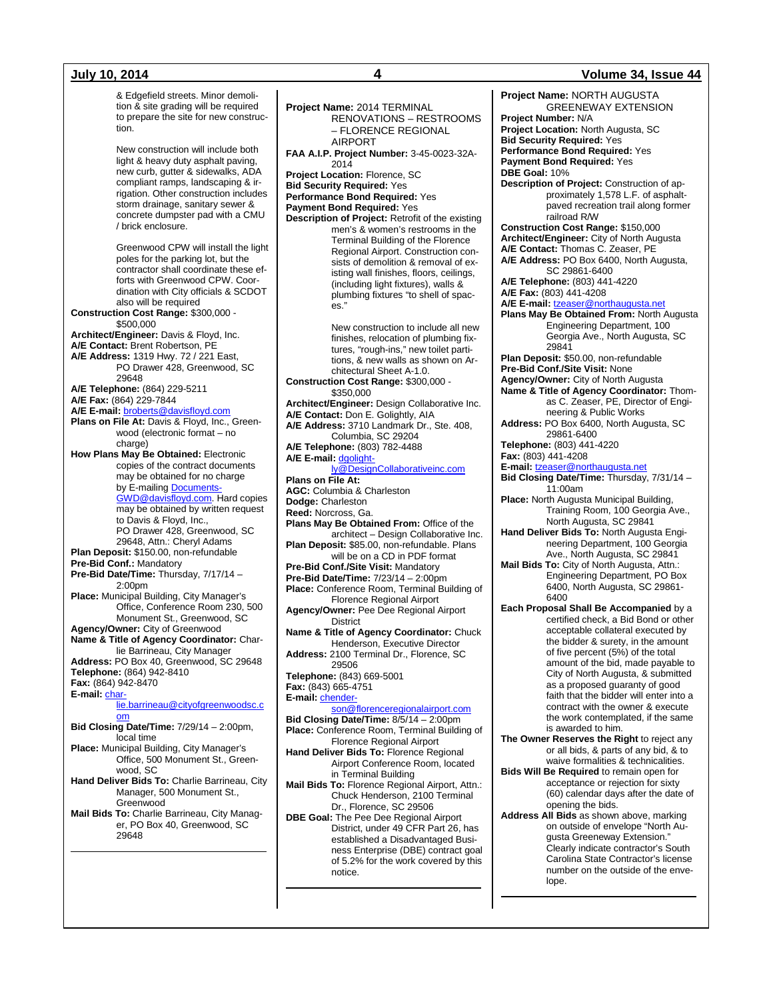**July 10, 2014 4 Volume 34, Issue 44**

& Edgefield streets. Minor demolition & site grading will be required to prepare the site for new construction. New construction will include both light & heavy duty asphalt paving, new curb, gutter & sidewalks, ADA compliant ramps, landscaping & irrigation. Other construction includes storm drainage, sanitary sewer & concrete dumpster pad with a CMU / brick enclosure. Greenwood CPW will install the light poles for the parking lot, but the contractor shall coordinate these efforts with Greenwood CPW. Coordination with City officials & SCDOT also will be required **Construction Cost Range:** \$300,000 - \$500,000 **Architect/Engineer:** Davis & Floyd, Inc. **A/E Contact:** Brent Robertson, PE **A/E Address:** 1319 Hwy. 72 / 221 East, PO Drawer 428, Greenwood, SC 29648 **A/E Telephone:** (864) 229-5211 **A/E Fax:** (864) 229-7844 **A/E E-mail:** [broberts@davisfloyd.com](mailto:broberts@davisfloyd.com) Plans on File At: Davis & Floyd, Inc., Greenwood (electronic format – no charge) **How Plans May Be Obtained:** Electronic copies of the contract documents may be obtained for no charge by E-mailin[g Documents-](mailto:Documents-GWD@davisfloyd.com)[GWD@davisfloyd.com.](mailto:Documents-GWD@davisfloyd.com) Hard copies may be obtained by written request to Davis & Floyd, Inc., PO Drawer 428, Greenwood, SC 29648, Attn.: Cheryl Adams **Plan Deposit:** \$150.00, non-refundable **Pre-Bid Conf.:** Mandatory **Pre-Bid Date/Time:** Thursday, 7/17/14 – 2:00pm **Place:** Municipal Building, City Manager's Office, Conference Room 230, 500 Monument St., Greenwood, SC **Agency/Owner:** City of Greenwood **Name & Title of Agency Coordinator:** Charlie Barrineau, City Manager **Address:** PO Box 40, Greenwood, SC 29648 **Telephone:** (864) 942-8410 **Fax:** (864) 942-8470 **E-mail:** [char](mailto:charlie.barrineau@cityofgreenwoodsc.com)[lie.barrineau@cityofgreenwoodsc.c](mailto:charlie.barrineau@cityofgreenwoodsc.com) [om](mailto:charlie.barrineau@cityofgreenwoodsc.com) **Bid Closing Date/Time:** 7/29/14 – 2:00pm, local time **Place:** Municipal Building, City Manager's Office, 500 Monument St., Greenwood, SC **Hand Deliver Bids To:** Charlie Barrineau, City Manager, 500 Monument St., Greenwood **Mail Bids To:** Charlie Barrineau, City Manager, PO Box 40, Greenwood, SC 29648 **Project Name:** 2014 TERMINAL RENOVATIONS – RESTROOMS – FLORENCE REGIONAL AIRPORT **FAA A.I.P. Project Number:** 3-45-0023-32A-2014 **Project Location:** Florence, SC **Bid Security Required:** Yes **Performance Bond Required:** Yes **Payment Bond Required:** Yes **Description of Project:** Retrofit of the existing men's & women's restrooms in the Terminal Building of the Florence Regional Airport. Construction consists of demolition & removal of existing wall finishes, floors, ceilings, (including light fixtures), walls & plumbing fixtures "to shell of spaces." New construction to include all new finishes, relocation of plumbing fixtures, "rough-ins," new toilet partitions, & new walls as shown on Architectural Sheet A-1.0. **Construction Cost Range:** \$300,000 - \$350,000 **Architect/Engineer:** Design Collaborative Inc. **A/E Contact:** Don E. Golightly, AIA **A/E Address:** 3710 Landmark Dr., Ste. 408, Columbia, SC 29204 **A/E Telephone:** (803) 782-4488 **A/E E-mail:** [dgolight](mailto:dgolightly@DesignCollaborativeinc.com)[ly@DesignCollaborativeinc.com](mailto:dgolightly@DesignCollaborativeinc.com) **Plans on File At: AGC:** Columbia & Charleston **Dodge:** Charleston **Reed:** Norcross, Ga. **Plans May Be Obtained From:** Office of the architect – Design Collaborative Inc. **Plan Deposit:** \$85.00, non-refundable. Plans will be on a CD in PDF format **Pre-Bid Conf./Site Visit:** Mandatory **Pre-Bid Date/Time:** 7/23/14 – 2:00pm **Place:** Conference Room, Terminal Building of Florence Regional Airport **Agency/Owner:** Pee Dee Regional Airport **District Name & Title of Agency Coordinator:** Chuck Henderson, Executive Director **Address:** 2100 Terminal Dr., Florence, SC 29506 **Telephone:** (843) 669-5001 **Fax:** (843) 665-4751 **E-mail:** [chender](mailto:chenderson@florenceregionalairport.com)[son@florenceregionalairport.com](mailto:chenderson@florenceregionalairport.com) **Bid Closing Date/Time:** 8/5/14 – 2:00pm **Place:** Conference Room, Terminal Building of Florence Regional Airport **Hand Deliver Bids To:** Florence Regional Airport Conference Room, located in Terminal Building **Mail Bids To:** Florence Regional Airport, Attn.: Chuck Henderson, 2100 Terminal Dr., Florence, SC 29506 **DBE Goal:** The Pee Dee Regional Airport District, under 49 CFR Part 26, has established a Disadvantaged Business Enterprise (DBE) contract goal **Project Name:** NORTH AUGUSTA GREENEWAY EXTENSION **Project Number:** N/A **Project Location:** North Augusta, SC **Bid Security Required:** Yes **Performance Bond Required:** Yes **Payment Bond Required:** Yes **DBE Goal:** 10% **Description of Project:** Construction of approximately 1,578 L.F. of asphaltpaved recreation trail along former railroad R/W **Construction Cost Range:** \$150,000 **Architect/Engineer:** City of North Augusta **A/E Contact:** Thomas C. Zeaser, PE **A/E Address:** PO Box 6400, North Augusta, SC 29861-6400 **A/E Telephone:** (803) 441-4220 **A/E Fax:** (803) 441-4208 **A/E E-mail:** [tzeaser@northaugusta.net](mailto:tzeaser@northaugusta.net) **Plans May Be Obtained From:** North Augusta Engineering Department, 100 Georgia Ave., North Augusta, SC 29841 **Plan Deposit:** \$50.00, non-refundable **Pre-Bid Conf./Site Visit:** None **Agency/Owner:** City of North Augusta **Name & Title of Agency Coordinator:** Thomas C. Zeaser, PE, Director of Engineering & Public Works **Address:** PO Box 6400, North Augusta, SC 29861-6400 **Telephone:** (803) 441-4220 **Fax:** (803) 441-4208 **E-mail:** [tzeaser@northaugusta.net](mailto:tzeaser@northaugusta.net) **Bid Closing Date/Time:** Thursday, 7/31/14 – 11:00am **Place:** North Augusta Municipal Building, Training Room, 100 Georgia Ave., North Augusta, SC 29841 **Hand Deliver Bids To:** North Augusta Engineering Department, 100 Georgia Ave., North Augusta, SC 29841 **Mail Bids To:** City of North Augusta, Attn.: Engineering Department, PO Box 6400, North Augusta, SC 29861- 6400 **Each Proposal Shall Be Accompanied** by a certified check, a Bid Bond or other acceptable collateral executed by the bidder & surety, in the amount of five percent (5%) of the total amount of the bid, made payable to City of North Augusta, & submitted as a proposed guaranty of good faith that the bidder will enter into a contract with the owner & execute the work contemplated, if the same is awarded to him. **The Owner Reserves the Right** to reject any or all bids, & parts of any bid, & to waive formalities & technicalities. **Bids Will Be Required** to remain open for acceptance or rejection for sixty (60) calendar days after the date of opening the bids. **Address All Bids** as shown above, marking on outside of envelope "North Augusta Greeneway Extension." Clearly indicate contractor's South

of 5.2% for the work covered by this

notice.

Carolina State Contractor's license number on the outside of the envelope.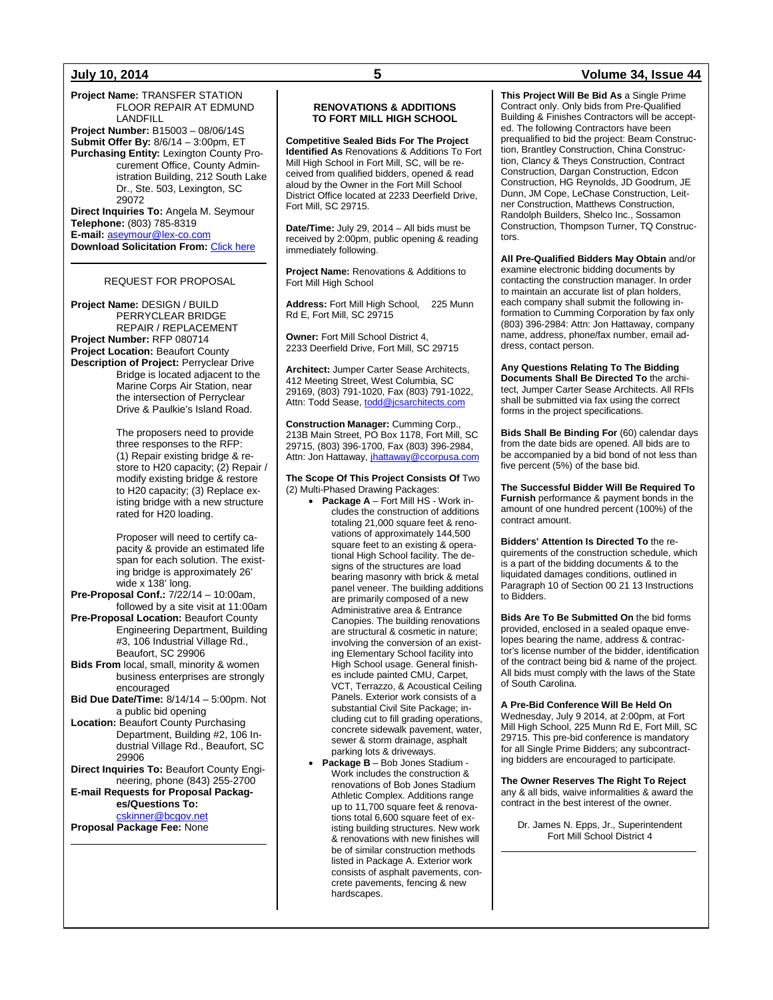**Project Name:** TRANSFER STATION FLOOR REPAIR AT EDMUND LANDFILL **Project Number:** B15003 – 08/06/14S

**Submit Offer By:** 8/6/14 – 3:00pm, ET **Purchasing Entity:** Lexington County Procurement Office, County Administration Building, 212 South Lake Dr., Ste. 503, Lexington, SC 29072 **Direct Inquiries To:** Angela M. Seymour

**Telephone:** (803) 785-8319 **E-mail:** [aseymour@lex-co.com](mailto:aseymour@lex-co.com) **Download Solicitation From:** [Click here](http://www.lex-co.sc.gov/departments/DeptIQ/procurement/Pages/BidOpportunities.aspx)

#### REQUEST FOR PROPOSAL

**Project Name:** DESIGN / BUILD PERRYCLEAR BRIDGE REPAIR / REPLACEMENT **Project Number:** RFP 080714 **Project Location:** Beaufort County **Description of Project:** Perryclear Drive Bridge is located adjacent to the Marine Corps Air Station, near the intersection of Perryclear Drive & Paulkie's Island Road.

> The proposers need to provide three responses to the RFP: (1) Repair existing bridge & restore to H20 capacity; (2) Repair / modify existing bridge & restore to H20 capacity; (3) Replace existing bridge with a new structure rated for H20 loading.

Proposer will need to certify capacity & provide an estimated life span for each solution. The existing bridge is approximately 26' wide x 138' long.

**Pre-Proposal Conf.:** 7/22/14 – 10:00am, followed by a site visit at 11:00am

**Pre-Proposal Location:** Beaufort County Engineering Department, Building #3, 106 Industrial Village Rd., Beaufort, SC 29906

**Bids From** local, small, minority & women business enterprises are strongly encouraged

- **Bid Due Date/Time:** 8/14/14 5:00pm. Not a public bid opening
- **Location:** Beaufort County Purchasing Department, Building #2, 106 Industrial Village Rd., Beaufort, SC 29906

**Direct Inquiries To:** Beaufort County Engineering, phone (843) 255-2700 **E-mail Requests for Proposal Packages/Questions To:** [cskinner@bcgov.net](mailto:cskinner@bcgov.net)

**Proposal Package Fee:** None

#### **RENOVATIONS & ADDITIONS TO FORT MILL HIGH SCHOOL**

**Competitive Sealed Bids For The Project Identified As** Renovations & Additions To Fort Mill High School in Fort Mill, SC, will be received from qualified bidders, opened & read aloud by the Owner in the Fort Mill School District Office located at 2233 Deerfield Drive, Fort Mill, SC 29715.

**Date/Time:** July 29, 2014 – All bids must be received by 2:00pm, public opening & reading immediately following.

**Project Name:** Renovations & Additions to Fort Mill High School

**Address:** Fort Mill High School, 225 Munn Rd E, Fort Mill, SC 29715

**Owner:** Fort Mill School District 4, 2233 Deerfield Drive, Fort Mill, SC 29715

**Architect:** Jumper Carter Sease Architects, 412 Meeting Street, West Columbia, SC 29169, (803) 791-1020, Fax (803) 791-1022, Attn: Todd Sease[, todd@jcsarchitects.com](mailto:todd@jcsarchitects.com)

**Construction Manager:** Cumming Corp., 213B Main Street, PO Box 1178, Fort Mill, SC 29715, (803) 396-1700, Fax (803) 396-2984, Attn: Jon Hattaway[, jhattaway@ccorpusa.com](mailto:jhattaway@ccorpusa.com)

#### **The Scope Of This Project Consists Of** Two (2) Multi-Phased Drawing Packages:

- **Package A** Fort Mill HS Work includes the construction of additions totaling 21,000 square feet & renovations of approximately 144,500 square feet to an existing & operational High School facility. The designs of the structures are load bearing masonry with brick & metal panel veneer. The building additions are primarily composed of a new Administrative area & Entrance Canopies. The building renovations are structural & cosmetic in nature; involving the conversion of an existing Elementary School facility into High School usage. General finishes include painted CMU, Carpet, VCT, Terrazzo, & Acoustical Ceiling Panels. Exterior work consists of a substantial Civil Site Package; including cut to fill grading operations, concrete sidewalk pavement, water, sewer & storm drainage, asphalt parking lots & driveways.
- **Package B** Bob Jones Stadium Work includes the construction & renovations of Bob Jones Stadium Athletic Complex. Additions range up to 11,700 square feet & renovations total 6,600 square feet of existing building structures. New work & renovations with new finishes will be of similar construction methods listed in Package A. Exterior work consists of asphalt pavements, concrete pavements, fencing & new hardscapes.

### **July 10, 2014 5 Volume 34, Issue 44**

**This Project Will Be Bid As** a Single Prime Contract only. Only bids from Pre-Qualified Building & Finishes Contractors will be accepted. The following Contractors have been prequalified to bid the project: Beam Construction, Brantley Construction, China Construction, Clancy & Theys Construction, Contract Construction, Dargan Construction, Edcon Construction, HG Reynolds, JD Goodrum, JE Dunn, JM Cope, LeChase Construction, Leitner Construction, Matthews Construction, Randolph Builders, Shelco Inc., Sossamon Construction, Thompson Turner, TQ Constructors.

**All Pre-Qualified Bidders May Obtain** and/or examine electronic bidding documents by contacting the construction manager. In order to maintain an accurate list of plan holders, each company shall submit the following information to Cumming Corporation by fax only (803) 396-2984: Attn: Jon Hattaway, company name, address, phone/fax number, email address, contact person.

**Any Questions Relating To The Bidding Documents Shall Be Directed To** the architect, Jumper Carter Sease Architects. All RFIs shall be submitted via fax using the correct forms in the project specifications.

**Bids Shall Be Binding For** (60) calendar days from the date bids are opened. All bids are to be accompanied by a bid bond of not less than five percent (5%) of the base bid.

**The Successful Bidder Will Be Required To Furnish** performance & payment bonds in the amount of one hundred percent (100%) of the contract amount.

**Bidders' Attention Is Directed To** the requirements of the construction schedule, which is a part of the bidding documents & to the liquidated damages conditions, outlined in Paragraph 10 of Section 00 21 13 Instructions to Bidders.

**Bids Are To Be Submitted On** the bid forms provided, enclosed in a sealed opaque envelopes bearing the name, address & contractor's license number of the bidder, identification of the contract being bid & name of the project. All bids must comply with the laws of the State of South Carolina.

**A Pre-Bid Conference Will Be Held On**  Wednesday, July 9 2014, at 2:00pm, at Fort Mill High School, 225 Munn Rd E, Fort Mill, SC 29715. This pre-bid conference is mandatory for all Single Prime Bidders; any subcontracting bidders are encouraged to participate.

**The Owner Reserves The Right To Reject**  any & all bids, waive informalities & award the contract in the best interest of the owner.

Dr. James N. Epps, Jr., Superintendent Fort Mill School District 4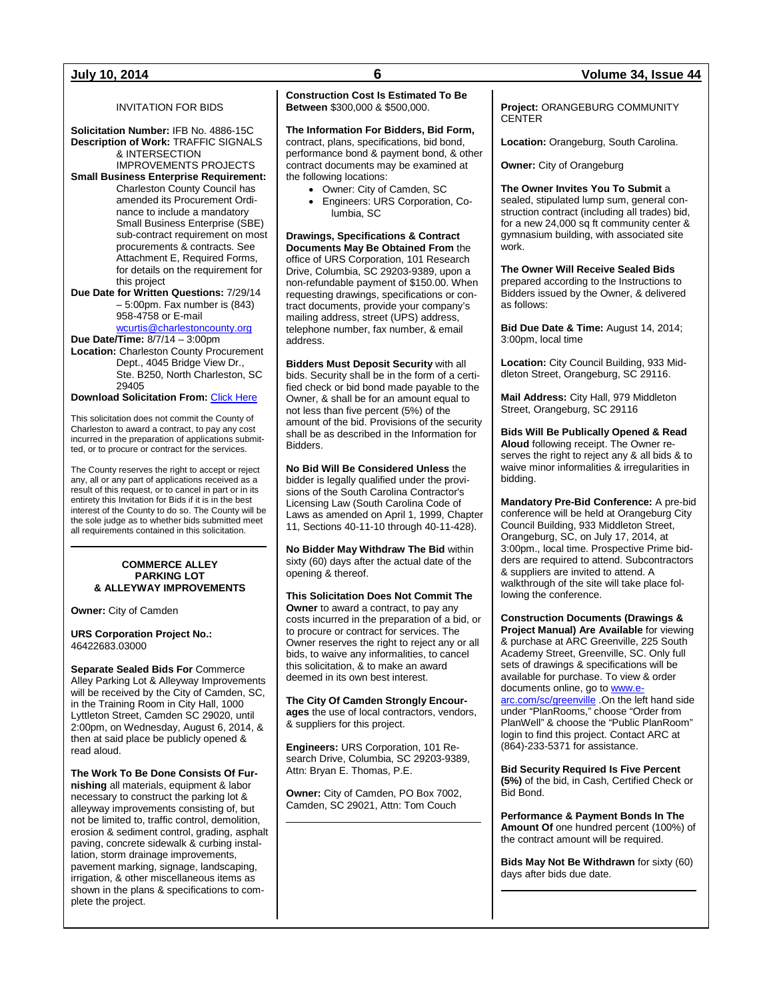### INVITATION FOR BIDS

**Solicitation Number:** IFB No. 4886-15C **Description of Work:** TRAFFIC SIGNALS & INTERSECTION

IMPROVEMENTS PROJECTS **Small Business Enterprise Requirement:** Charleston County Council has amended its Procurement Ordinance to include a mandatory Small Business Enterprise (SBE) sub-contract requirement on most procurements & contracts. See Attachment E, Required Forms, for details on the requirement for this project

**Due Date for Written Questions:** 7/29/14 – 5:00pm. Fax number is (843) 958-4758 or E-mail [wcurtis@charlestoncounty.org](mailto:wcurtis@charlestoncounty.org)

**Due Date/Time:** 8/7/14 – 3:00pm **Location:** Charleston County Procurement Dept., 4045 Bridge View Dr., Ste. B250, North Charleston, SC 29405

**Download Solicitation From: [Click Here](http://www.charlestoncounty.org/departments/Procurement/cur-bids_pdfs/current_bids.htm)** 

This solicitation does not commit the County of Charleston to award a contract, to pay any cost incurred in the preparation of applications submitted, or to procure or contract for the services.

The County reserves the right to accept or reject any, all or any part of applications received as a result of this request, or to cancel in part or in its entirety this Invitation for Bids if it is in the best interest of the County to do so. The County will be the sole judge as to whether bids submitted meet all requirements contained in this solicitation.

#### **COMMERCE ALLEY PARKING LOT & ALLEYWAY IMPROVEMENTS**

**Owner:** City of Camden

**URS Corporation Project No.:** 46422683.03000

**Separate Sealed Bids For** Commerce Alley Parking Lot & Alleyway Improvements will be received by the City of Camden, SC, in the Training Room in City Hall, 1000 Lyttleton Street, Camden SC 29020, until 2:00pm, on Wednesday, August 6, 2014, & then at said place be publicly opened & read aloud.

**The Work To Be Done Consists Of Furnishing** all materials, equipment & labor necessary to construct the parking lot & alleyway improvements consisting of, but not be limited to, traffic control, demolition, erosion & sediment control, grading, asphalt paving, concrete sidewalk & curbing installation, storm drainage improvements, pavement marking, signage, landscaping, irrigation, & other miscellaneous items as shown in the plans & specifications to complete the project.

### **Construction Cost Is Estimated To Be Between** \$300,000 & \$500,000.

**The Information For Bidders, Bid Form,**  contract, plans, specifications, bid bond, performance bond & payment bond, & other contract documents may be examined at the following locations:

- Owner: City of Camden, SC
- Engineers: URS Corporation, Columbia, SC

**Drawings, Specifications & Contract Documents May Be Obtained From** the office of URS Corporation, 101 Research Drive, Columbia, SC 29203-9389, upon a non-refundable payment of \$150.00. When requesting drawings, specifications or contract documents, provide your company's mailing address, street (UPS) address, telephone number, fax number, & email address.

**Bidders Must Deposit Security** with all bids. Security shall be in the form of a certified check or bid bond made payable to the Owner, & shall be for an amount equal to not less than five percent (5%) of the amount of the bid. Provisions of the security shall be as described in the Information for Bidders.

**No Bid Will Be Considered Unless** the bidder is legally qualified under the provisions of the South Carolina Contractor's Licensing Law (South Carolina Code of Laws as amended on April 1, 1999, Chapter 11, Sections 40-11-10 through 40-11-428).

**No Bidder May Withdraw The Bid** within sixty (60) days after the actual date of the opening & thereof.

**This Solicitation Does Not Commit The Owner** to award a contract, to pay any costs incurred in the preparation of a bid, or to procure or contract for services. The Owner reserves the right to reject any or all bids, to waive any informalities, to cancel this solicitation, & to make an award deemed in its own best interest.

**The City Of Camden Strongly Encourages** the use of local contractors, vendors, & suppliers for this project.

**Engineers:** URS Corporation, 101 Research Drive, Columbia, SC 29203-9389, Attn: Bryan E. Thomas, P.E.

**Owner:** City of Camden, PO Box 7002, Camden, SC 29021, Attn: Tom Couch

### **July 10, 2014 6 Volume 34, Issue 44**

**Project:** ORANGEBURG COMMUNITY **CENTER** 

**Location:** Orangeburg, South Carolina.

**Owner:** City of Orangeburg

**The Owner Invites You To Submit** a sealed, stipulated lump sum, general construction contract (including all trades) bid, for a new 24,000 sq ft community center & gymnasium building, with associated site work.

**The Owner Will Receive Sealed Bids** prepared according to the Instructions to Bidders issued by the Owner, & delivered as follows:

**Bid Due Date & Time:** August 14, 2014; 3:00pm, local time

**Location:** City Council Building, 933 Middleton Street, Orangeburg, SC 29116.

**Mail Address:** City Hall, 979 Middleton Street, Orangeburg, SC 29116

**Bids Will Be Publically Opened & Read Aloud** following receipt. The Owner reserves the right to reject any & all bids & to waive minor informalities & irregularities in bidding.

**Mandatory Pre-Bid Conference:** A pre-bid conference will be held at Orangeburg City Council Building, 933 Middleton Street, Orangeburg, SC, on July 17, 2014, at 3:00pm., local time. Prospective Prime bidders are required to attend. Subcontractors & suppliers are invited to attend. A walkthrough of the site will take place following the conference.

**Construction Documents (Drawings & Project Manual) Are Available** for viewing & purchase at ARC Greenville, 225 South Academy Street, Greenville, SC. Only full sets of drawings & specifications will be available for purchase. To view & order documents online, go t[o www.e](http://www.e-arc.com/sc/greenville)[arc.com/sc/greenville](http://www.e-arc.com/sc/greenville) .On the left hand side under "PlanRooms," choose "Order from PlanWell" & choose the "Public PlanRoom" login to find this project. Contact ARC at (864)-233-5371 for assistance.

**Bid Security Required Is Five Percent (5%)** of the bid, in Cash, Certified Check or Bid Bond.

**Performance & Payment Bonds In The Amount Of** one hundred percent (100%) of the contract amount will be required.

**Bids May Not Be Withdrawn** for sixty (60) days after bids due date.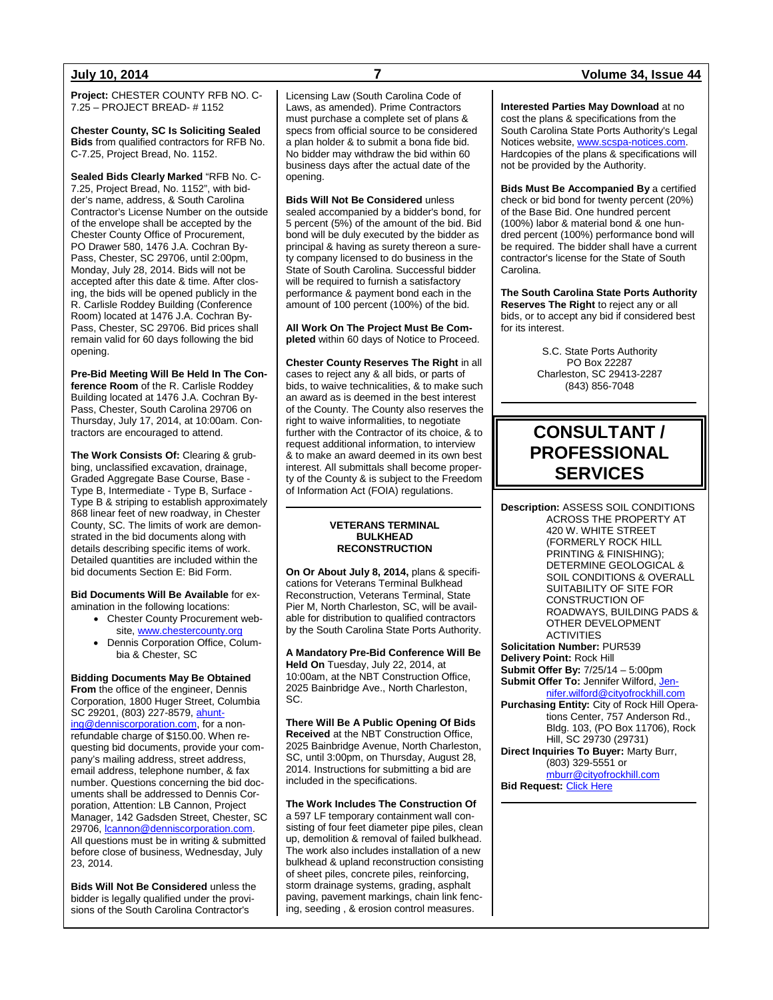**Project:** CHESTER COUNTY RFB NO. C-7.25 – PROJECT BREAD- # 1152

**Chester County, SC Is Soliciting Sealed Bids** from qualified contractors for RFB No. C-7.25, Project Bread, No. 1152.

**Sealed Bids Clearly Marked** "RFB No. C-7.25, Project Bread, No. 1152", with bidder's name, address, & South Carolina Contractor's License Number on the outside of the envelope shall be accepted by the Chester County Office of Procurement, PO Drawer 580, 1476 J.A. Cochran By-Pass, Chester, SC 29706, until 2:00pm, Monday, July 28, 2014. Bids will not be accepted after this date & time. After closing, the bids will be opened publicly in the R. Carlisle Roddey Building (Conference Room) located at 1476 J.A. Cochran By-Pass, Chester, SC 29706. Bid prices shall remain valid for 60 days following the bid opening.

**Pre-Bid Meeting Will Be Held In The Conference Room** of the R. Carlisle Roddey Building located at 1476 J.A. Cochran By-Pass, Chester, South Carolina 29706 on Thursday, July 17, 2014, at 10:00am. Contractors are encouraged to attend.

**The Work Consists Of:** Clearing & grubbing, unclassified excavation, drainage, Graded Aggregate Base Course, Base - Type B, Intermediate - Type B, Surface - Type B & striping to establish approximately 868 linear feet of new roadway, in Chester County, SC. The limits of work are demonstrated in the bid documents along with details describing specific items of work. Detailed quantities are included within the bid documents Section E: Bid Form.

**Bid Documents Will Be Available** for examination in the following locations:

- Chester County Procurement website, [www.chestercounty.org](http://www.chestercounty.org/)
- Dennis Corporation Office, Columbia & Chester, SC

**Bidding Documents May Be Obtained From** the office of the engineer, Dennis Corporation, 1800 Huger Street, Columbia SC 29201, (803) 227-8579[, ahunt](mailto:ahunting@denniscorporation.com)[ing@denniscorporation.com,](mailto:ahunting@denniscorporation.com) for a nonrefundable charge of \$150.00. When requesting bid documents, provide your company's mailing address, street address, email address, telephone number, & fax number. Questions concerning the bid documents shall be addressed to Dennis Corporation, Attention: LB Cannon, Project Manager, 142 Gadsden Street, Chester, SC 29706, [lcannon@denniscorporation.com.](mailto:tantley@denniscorporation.com) All questions must be in writing & submitted before close of business, Wednesday, July 23, 2014.

**Bids Will Not Be Considered** unless the bidder is legally qualified under the provisions of the South Carolina Contractor's

Licensing Law (South Carolina Code of Laws, as amended). Prime Contractors must purchase a complete set of plans & specs from official source to be considered a plan holder & to submit a bona fide bid. No bidder may withdraw the bid within 60 business days after the actual date of the opening.

**Bids Will Not Be Considered** unless sealed accompanied by a bidder's bond, for 5 percent (5%) of the amount of the bid. Bid bond will be duly executed by the bidder as principal & having as surety thereon a surety company licensed to do business in the State of South Carolina. Successful bidder will be required to furnish a satisfactory performance & payment bond each in the amount of 100 percent (100%) of the bid.

**All Work On The Project Must Be Completed** within 60 days of Notice to Proceed.

**Chester County Reserves The Right** in all cases to reject any & all bids, or parts of bids, to waive technicalities, & to make such an award as is deemed in the best interest of the County. The County also reserves the right to waive informalities, to negotiate further with the Contractor of its choice, & to request additional information, to interview & to make an award deemed in its own best interest. All submittals shall become property of the County & is subject to the Freedom of Information Act (FOIA) regulations.

#### **VETERANS TERMINAL BULKHEAD RECONSTRUCTION**

**On Or About July 8, 2014,** plans & specifications for Veterans Terminal Bulkhead Reconstruction, Veterans Terminal, State Pier M, North Charleston, SC, will be available for distribution to qualified contractors by the South Carolina State Ports Authority.

**A Mandatory Pre-Bid Conference Will Be Held On** Tuesday, July 22, 2014, at 10:00am, at the NBT Construction Office, 2025 Bainbridge Ave., North Charleston, SC.

**There Will Be A Public Opening Of Bids Received** at the NBT Construction Office, 2025 Bainbridge Avenue, North Charleston, SC, until 3:00pm, on Thursday, August 28, 2014. Instructions for submitting a bid are included in the specifications.

**The Work Includes The Construction Of** a 597 LF temporary containment wall consisting of four feet diameter pipe piles, clean up, demolition & removal of failed bulkhead. The work also includes installation of a new bulkhead & upland reconstruction consisting of sheet piles, concrete piles, reinforcing, storm drainage systems, grading, asphalt paving, pavement markings, chain link fencing, seeding , & erosion control measures.

### **July 10, 2014 7 Volume 34, Issue 44**

**Interested Parties May Download** at no cost the plans & specifications from the South Carolina State Ports Authority's Legal Notices website, [www.scspa-notices.com.](http://www.scspa-notices.com/) Hardcopies of the plans & specifications will not be provided by the Authority.

**Bids Must Be Accompanied By** a certified check or bid bond for twenty percent (20%) of the Base Bid. One hundred percent (100%) labor & material bond & one hundred percent (100%) performance bond will be required. The bidder shall have a current contractor's license for the State of South Carolina.

**The South Carolina State Ports Authority Reserves The Right** to reject any or all bids, or to accept any bid if considered best for its interest.

> S.C. State Ports Authority PO Box 22287 Charleston, SC 29413-2287 (843) 856-7048

## **CONSULTANT / PROFESSIONAL SERVICES**

**Description:** ASSESS SOIL CONDITIONS ACROSS THE PROPERTY AT 420 W. WHITE STREET (FORMERLY ROCK HILL PRINTING & FINISHING); DETERMINE GEOLOGICAL & SOIL CONDITIONS & OVERALL SUITABILITY OF SITE FOR CONSTRUCTION OF ROADWAYS, BUILDING PADS & OTHER DEVELOPMENT ACTIVITIES **Solicitation Number:** PUR539 **Delivery Point:** Rock Hill **Submit Offer By:** 7/25/14 – 5:00pm **Submit Offer To: Jennifer Wilford[, Jen](mailto:Jennifer.wilford@cityofrockhill.com)**[nifer.wilford@cityofrockhill.com](mailto:Jennifer.wilford@cityofrockhill.com) **Purchasing Entity:** City of Rock Hill Operations Center, 757 Anderson Rd., Bldg. 103, (PO Box 11706), Rock Hill, SC 29730 (29731) **Direct Inquiries To Buyer:** Marty Burr, (803) 329-5551 or [mburr@cityofrockhill.com](mailto:mburr@cityofrockhill.com) **Bid Request: [Click Here](http://cityofrockhill.com/departments/general-government/purchasing/bids-proposal-requests)**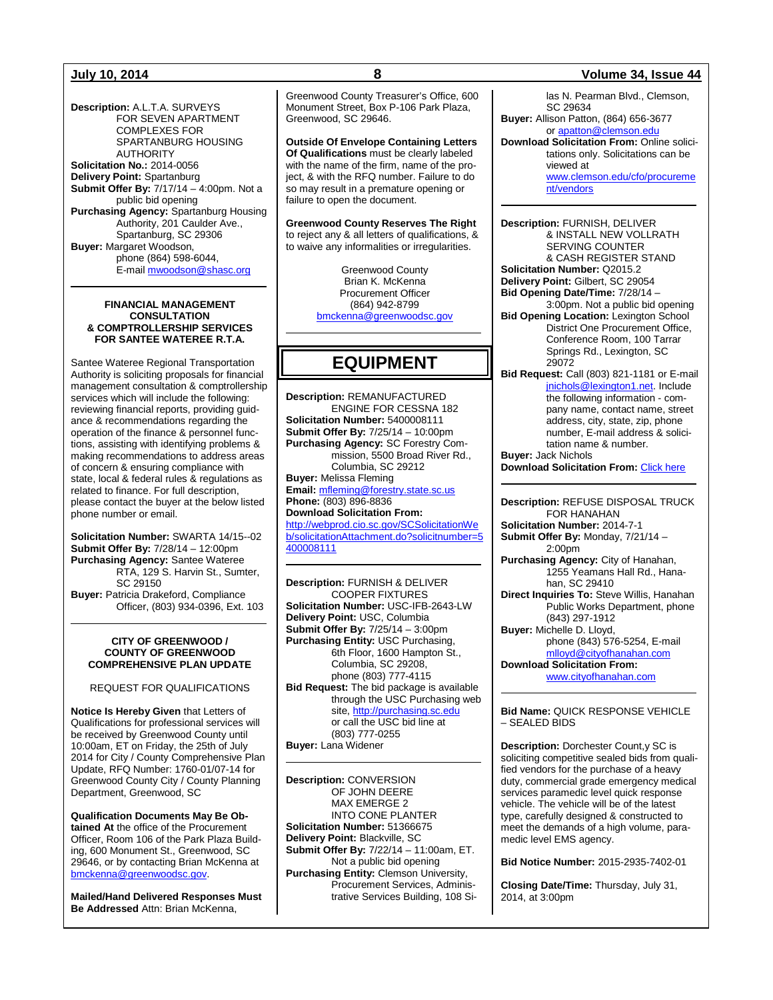**Description:** A.L.T.A. SURVEYS FOR SEVEN APARTMENT COMPLEXES FOR SPARTANBURG HOUSING AUTHORITY **Solicitation No.:** 2014-0056 **Delivery Point:** Spartanburg **Submit Offer By:** 7/17/14 – 4:00pm. Not a public bid opening **Purchasing Agency:** Spartanburg Housing Authority, 201 Caulder Ave., Spartanburg, SC 29306 **Buyer:** Margaret Woodson, phone (864) 598-6044, E-mail [mwoodson@shasc.org](mailto:mwoodson@shasc.org)

#### **FINANCIAL MANAGEMENT CONSULTATION & COMPTROLLERSHIP SERVICES FOR SANTEE WATEREE R.T.A.**

Santee Wateree Regional Transportation Authority is soliciting proposals for financial management consultation & comptrollership services which will include the following: reviewing financial reports, providing guidance & recommendations regarding the operation of the finance & personnel functions, assisting with identifying problems & making recommendations to address areas of concern & ensuring compliance with state, local & federal rules & regulations as related to finance. For full description, please contact the buyer at the below listed phone number or email.

**Solicitation Number:** SWARTA 14/15--02 **Submit Offer By:** 7/28/14 – 12:00pm **Purchasing Agency:** Santee Wateree RTA, 129 S. Harvin St., Sumter, SC 29150 **Buyer:** Patricia Drakeford, Compliance Officer, (803) 934-0396, Ext. 103

#### **CITY OF GREENWOOD / COUNTY OF GREENWOOD COMPREHENSIVE PLAN UPDATE**

REQUEST FOR QUALIFICATIONS

**Notice Is Hereby Given** that Letters of Qualifications for professional services will be received by Greenwood County until 10:00am, ET on Friday, the 25th of July 2014 for City / County Comprehensive Plan Update, RFQ Number: 1760-01/07-14 for Greenwood County City / County Planning Department, Greenwood, SC

**Qualification Documents May Be Obtained At** the office of the Procurement Officer, Room 106 of the Park Plaza Building, 600 Monument St., Greenwood, SC 29646, or by contacting Brian McKenna at [bmckenna@greenwoodsc.gov.](mailto:bmckenna@greenwoodsc.gov)

**Mailed/Hand Delivered Responses Must Be Addressed** Attn: Brian McKenna,

Greenwood County Treasurer's Office, 600 Monument Street, Box P-106 Park Plaza, Greenwood, SC 29646.

**Outside Of Envelope Containing Letters Of Qualifications** must be clearly labeled with the name of the firm, name of the project, & with the RFQ number. Failure to do so may result in a premature opening or failure to open the document.

**Greenwood County Reserves The Right** to reject any & all letters of qualifications, & to waive any informalities or irregularities.

> Greenwood County Brian K. McKenna Procurement Officer (864) 942-8799 [bmckenna@greenwoodsc.gov](mailto:bmckenna@greenwoodsc.gov)

## **EQUIPMENT**

**Description:** REMANUFACTURED ENGINE FOR CESSNA 182 **Solicitation Number:** 5400008111 **Submit Offer By:** 7/25/14 – 10:00pm **Purchasing Agency:** SC Forestry Commission, 5500 Broad River Rd., Columbia, SC 29212 **Buyer:** Melissa Fleming **Email:** [mfleming@forestry.state.sc.us](mailto:mfleming@forestry.state.sc.us) **Phone:** (803) 896-8836 **Download Solicitation From:** [http://webprod.cio.sc.gov/SCSolicitationWe](http://webprod.cio.sc.gov/SCSolicitationWeb/solicitationAttachment.do?solicitnumber=5400008111) [b/solicitationAttachment.do?solicitnumber=5](http://webprod.cio.sc.gov/SCSolicitationWeb/solicitationAttachment.do?solicitnumber=5400008111)

[400008111](http://webprod.cio.sc.gov/SCSolicitationWeb/solicitationAttachment.do?solicitnumber=5400008111)

**Description:** FURNISH & DELIVER COOPER FIXTURES **Solicitation Number:** USC-IFB-2643-LW **Delivery Point:** USC, Columbia **Submit Offer By:** 7/25/14 – 3:00pm **Purchasing Entity:** USC Purchasing, 6th Floor, 1600 Hampton St., Columbia, SC 29208, phone (803) 777-4115 **Bid Request:** The bid package is available through the USC Purchasing web site[, http://purchasing.sc.edu](http://purchasing.sc.edu/) or call the USC bid line at (803) 777-0255 **Buyer:** Lana Widener

**Description:** CONVERSION OF JOHN DEERE MAX EMERGE 2 INTO CONE PLANTER **Solicitation Number:** 51366675 **Delivery Point:** Blackville, SC **Submit Offer By:** 7/22/14 – 11:00am, ET. Not a public bid opening **Purchasing Entity:** Clemson University, Procurement Services, Administrative Services Building, 108 Si-

### **July 10, 2014 8 Volume 34, Issue 44**

las N. Pearman Blvd., Clemson, SC 29634 **Buyer:** Allison Patton, (864) 656-3677

or [apatton@clemson.edu](mailto:apatton@clemson.edu) **Download Solicitation From:** Online solicitations only. Solicitations can be viewed at [www.clemson.edu/cfo/procureme](http://www.clemson.edu/cfo/procurement/vendors) [nt/vendors](http://www.clemson.edu/cfo/procurement/vendors)

**Description:** FURNISH, DELIVER & INSTALL NEW VOLLRATH SERVING COUNTER & CASH REGISTER STAND **Solicitation Number:** Q2015.2 **Delivery Point:** Gilbert, SC 29054 **Bid Opening Date/Time:** 7/28/14 – 3:00pm. Not a public bid opening **Bid Opening Location:** Lexington School District One Procurement Office, Conference Room, 100 Tarrar Springs Rd., Lexington, SC 29072 **Bid Request:** Call (803) 821-1181 or E-mail

[jnichols@lexington1.net.](mailto:jnichols@lexington1.net) Include the following information - company name, contact name, street address, city, state, zip, phone number, E-mail address & solicitation name & number.

**Buyer:** Jack Nichols **Download Solicitation From:** [Click here](http://www.lexington1.net/lexoneweb/index.aspx?page=FiscalServices/Procurement/Procurementsolicitawards.aspx)

**Description:** REFUSE DISPOSAL TRUCK FOR HANAHAN **Solicitation Number:** 2014-7-1

**Submit Offer By:** Monday, 7/21/14 – 2:00pm

**Purchasing Agency:** City of Hanahan, 1255 Yeamans Hall Rd., Hanahan, SC 29410

**Direct Inquiries To:** Steve Willis, Hanahan Public Works Department, phone (843) 297-1912

**Buyer:** Michelle D. Lloyd, phone (843) 576-5254, E-mail [mlloyd@cityofhanahan.com](mailto:mlloyd@cityofhanahan.com) **Download Solicitation From:**

[www.cityofhanahan.com](http://www.cityofhanahan.com/)

#### **Bid Name:** QUICK RESPONSE VEHICLE – SEALED BIDS

**Description:** Dorchester Count,y SC is soliciting competitive sealed bids from qualified vendors for the purchase of a heavy duty, commercial grade emergency medical services paramedic level quick response vehicle. The vehicle will be of the latest type, carefully designed & constructed to meet the demands of a high volume, paramedic level EMS agency.

**Bid Notice Number:** 2015-2935-7402-01

**Closing Date/Time:** Thursday, July 31, 2014, at 3:00pm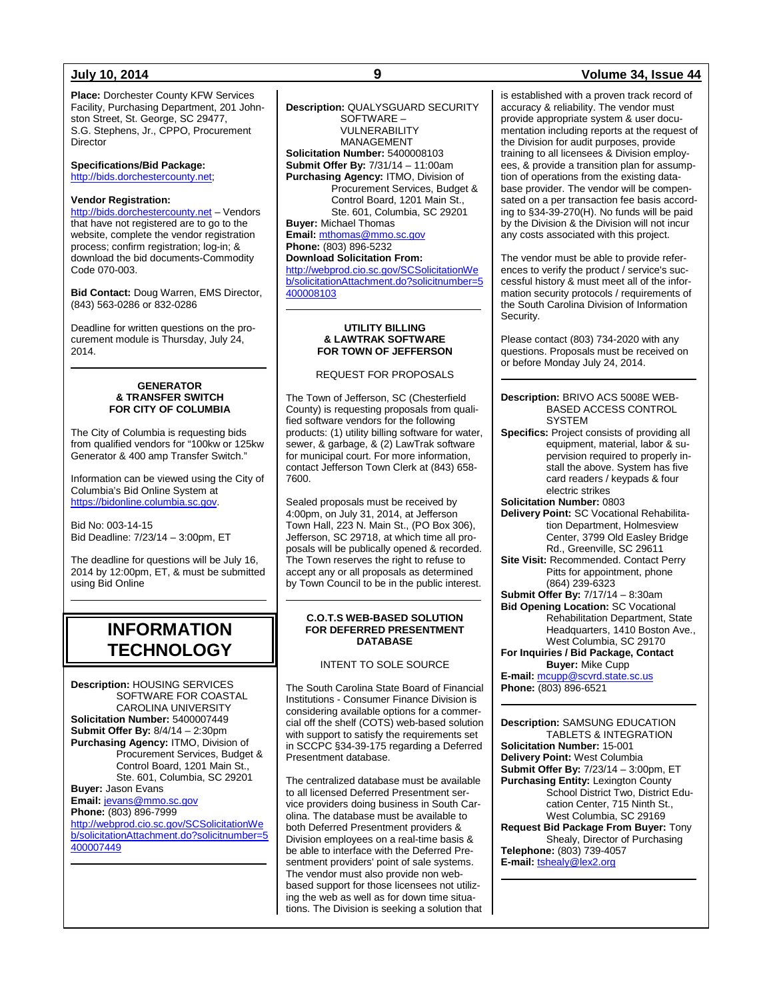**Place:** Dorchester County KFW Services Facility, Purchasing Department, 201 Johnston Street, St. George, SC 29477, S.G. Stephens, Jr., CPPO, Procurement **Director** 

**Specifications/Bid Package:** [http://bids.dorchestercounty.net;](http://bids.dorchestercounty.net/)

### **Vendor Registration:**

[http://bids.dorchestercounty.net](http://bids.dorchestercounty.net/) – Vendors that have not registered are to go to the website, complete the vendor registration process; confirm registration; log-in; & download the bid documents-Commodity Code 070-003.

**Bid Contact:** Doug Warren, EMS Director, (843) 563-0286 or 832-0286

Deadline for written questions on the procurement module is Thursday, July 24, 2014.

#### **GENERATOR & TRANSFER SWITCH FOR CITY OF COLUMBIA**

The City of Columbia is requesting bids from qualified vendors for "100kw or 125kw Generator & 400 amp Transfer Switch."

Information can be viewed using the City of Columbia's Bid Online System at [https://bidonline.columbia.sc.gov.](https://bidonline.columbia.sc.gov/)

Bid No: 003-14-15 Bid Deadline: 7/23/14 – 3:00pm, ET

The deadline for questions will be July 16, 2014 by 12:00pm, ET, & must be submitted using Bid Online

## **INFORMATION TECHNOLOGY**

**Description:** HOUSING SERVICES SOFTWARE FOR COASTAL CAROLINA UNIVERSITY **Solicitation Number:** 5400007449 **Submit Offer By:** 8/4/14 – 2:30pm **Purchasing Agency:** ITMO, Division of Procurement Services, Budget & Control Board, 1201 Main St., Ste. 601, Columbia, SC 29201 **Buyer:** Jason Evans **Email:** [jevans@mmo.sc.gov](mailto:jevans@mmo.sc.gov) **Phone:** (803) 896-7999 [http://webprod.cio.sc.gov/SCSolicitationWe](http://webprod.cio.sc.gov/SCSolicitationWeb/solicitationAttachment.do?solicitnumber=5400007449)

[b/solicitationAttachment.do?solicitnumber=5](http://webprod.cio.sc.gov/SCSolicitationWeb/solicitationAttachment.do?solicitnumber=5400007449) [400007449](http://webprod.cio.sc.gov/SCSolicitationWeb/solicitationAttachment.do?solicitnumber=5400007449)

**Description:** QUALYSGUARD SECURITY SOFTWARE – VULNERABILITY MANAGEMENT **Solicitation Number:** 5400008103 **Submit Offer By:** 7/31/14 – 11:00am **Purchasing Agency:** ITMO, Division of Procurement Services, Budget & Control Board, 1201 Main St., Ste. 601, Columbia, SC 29201 **Buyer:** Michael Thomas **Email:** [mthomas@mmo.sc.gov](mailto:mthomas@mmo.sc.gov) **Phone:** (803) 896-5232 **Download Solicitation From:** [http://webprod.cio.sc.gov/SCSolicitationWe](http://webprod.cio.sc.gov/SCSolicitationWeb/solicitationAttachment.do?solicitnumber=5400008103) [b/solicitationAttachment.do?solicitnumber=5](http://webprod.cio.sc.gov/SCSolicitationWeb/solicitationAttachment.do?solicitnumber=5400008103) [400008103](http://webprod.cio.sc.gov/SCSolicitationWeb/solicitationAttachment.do?solicitnumber=5400008103)

#### **UTILITY BILLING & LAWTRAK SOFTWARE FOR TOWN OF JEFFERSON**

REQUEST FOR PROPOSALS

The Town of Jefferson, SC (Chesterfield County) is requesting proposals from qualified software vendors for the following products: (1) utility billing software for water, sewer, & garbage, & (2) LawTrak software for municipal court. For more information, contact Jefferson Town Clerk at (843) 658- 7600.

Sealed proposals must be received by 4:00pm, on July 31, 2014, at Jefferson Town Hall, 223 N. Main St., (PO Box 306), Jefferson, SC 29718, at which time all proposals will be publically opened & recorded. The Town reserves the right to refuse to accept any or all proposals as determined by Town Council to be in the public interest.

#### **C.O.T.S WEB-BASED SOLUTION FOR DEFERRED PRESENTMENT DATABASE**

INTENT TO SOLE SOURCE

The South Carolina State Board of Financial Institutions - Consumer Finance Division is considering available options for a commercial off the shelf (COTS) web-based solution with support to satisfy the requirements set in SCCPC §34-39-175 regarding a Deferred Presentment database.

The centralized database must be available to all licensed Deferred Presentment service providers doing business in South Carolina. The database must be available to both Deferred Presentment providers & Division employees on a real-time basis & be able to interface with the Deferred Presentment providers' point of sale systems. The vendor must also provide non webbased support for those licensees not utilizing the web as well as for down time situations. The Division is seeking a solution that

### **July 10, 2014 9 Volume 34, Issue 44**

is established with a proven track record of accuracy & reliability. The vendor must provide appropriate system & user documentation including reports at the request of the Division for audit purposes, provide training to all licensees & Division employees, & provide a transition plan for assumption of operations from the existing database provider. The vendor will be compensated on a per transaction fee basis according to §34-39-270(H). No funds will be paid by the Division & the Division will not incur any costs associated with this project.

The vendor must be able to provide references to verify the product / service's successful history & must meet all of the information security protocols / requirements of the South Carolina Division of Information Security.

Please contact (803) 734-2020 with any questions. Proposals must be received on or before Monday July 24, 2014.

#### **Description:** BRIVO ACS 5008E WEB-BASED ACCESS CONTROL **SYSTEM**

**Specifics:** Project consists of providing all equipment, material, labor & supervision required to properly install the above. System has five card readers / keypads & four electric strikes **Solicitation Number:** 0803 **Delivery Point:** SC Vocational Rehabilitation Department, Holmesview Center, 3799 Old Easley Bridge Rd., Greenville, SC 29611 **Site Visit:** Recommended. Contact Perry Pitts for appointment, phone (864) 239-6323 **Submit Offer By:** 7/17/14 – 8:30am **Bid Opening Location:** SC Vocational Rehabilitation Department, State Headquarters, 1410 Boston Ave., West Columbia, SC 29170 **For Inquiries / Bid Package, Contact** 

### **Buyer:** Mike Cupp

**E-mail:** [mcupp@scvrd.state.sc.us](mailto:mcupp@scvrd.state.sc.us) **Phone:** (803) 896-6521

**Description:** SAMSUNG EDUCATION TABLETS & INTEGRATION **Solicitation Number:** 15-001 **Delivery Point:** West Columbia **Submit Offer By:** 7/23/14 – 3:00pm, ET **Purchasing Entity:** Lexington County School District Two, District Education Center, 715 Ninth St., West Columbia, SC 29169 **Request Bid Package From Buyer:** Tony

Shealy, Director of Purchasing **Telephone:** (803) 739-4057 **E-mail:** [tshealy@lex2.org](mailto:tshealy@lex2.org)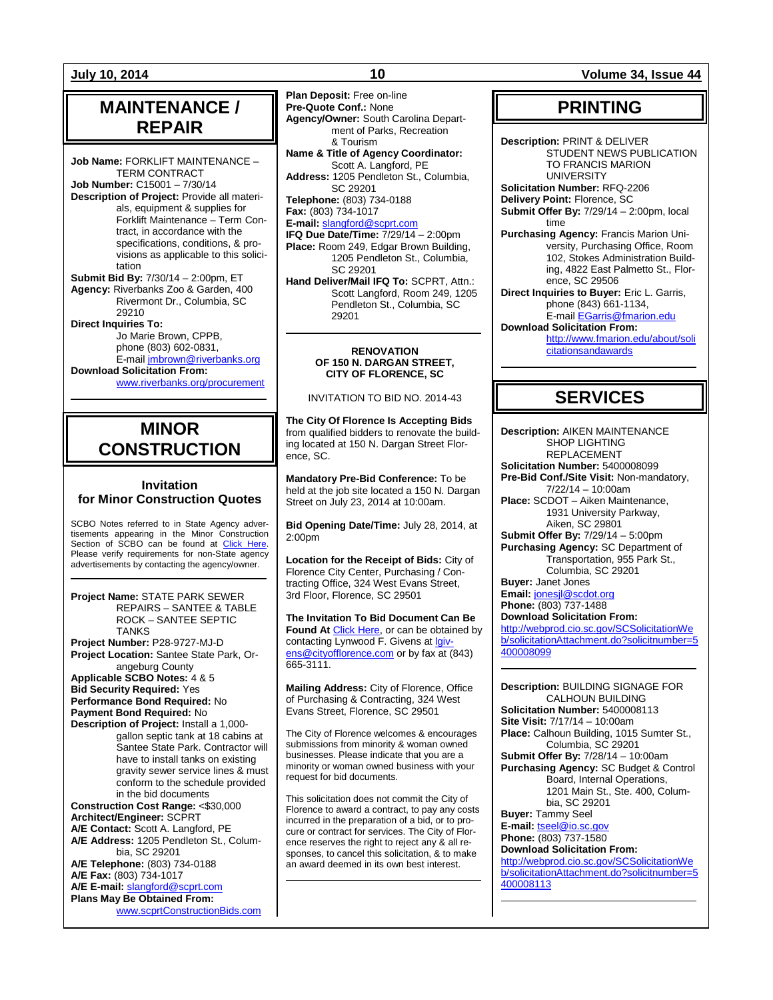## **MAINTENANCE / REPAIR**

**Job Name:** FORKLIFT MAINTENANCE – TERM CONTRACT **Job Number:** C15001 – 7/30/14 **Description of Project:** Provide all materials, equipment & supplies for Forklift Maintenance – Term Contract, in accordance with the specifications, conditions, & provisions as applicable to this solicitation **Submit Bid By:** 7/30/14 – 2:00pm, ET

**Agency:** Riverbanks Zoo & Garden, 400 Rivermont Dr., Columbia, SC 29210

**Direct Inquiries To:** Jo Marie Brown, CPPB, phone (803) 602-0831, E-mail [jmbrown@riverbanks.org](mailto:jmbrown@riverbanks.org)

**Download Solicitation From:** [www.riverbanks.org/procurement](http://www.riverbanks.org/procurement)

## **MINOR CONSTRUCTION**

### **Invitation for Minor Construction Quotes**

SCBO Notes referred to in State Agency advertisements appearing in the Minor Construction Section of SCBO can be found at [Click Here.](http://www.mmo.sc.gov/PS/general/scbo/SCBO_Notes_060512.pdf) Please verify requirements for non-State agency advertisements by contacting the agency/owner.

**Project Name:** STATE PARK SEWER REPAIRS – SANTEE & TABLE ROCK – SANTEE SEPTIC TANKS **Project Number:** P28-9727-MJ-D **Project Location:** Santee State Park, Orangeburg County

**Applicable SCBO Notes:** 4 & 5 **Bid Security Required:** Yes **Performance Bond Required:** No **Payment Bond Required:** No

**Description of Project:** Install a 1,000 gallon septic tank at 18 cabins at Santee State Park. Contractor will have to install tanks on existing gravity sewer service lines & must conform to the schedule provided in the bid documents

**Construction Cost Range:** <\$30,000 **Architect/Engineer:** SCPRT **A/E Contact:** Scott A. Langford, PE **A/E Address:** 1205 Pendleton St., Columbia, SC 29201 **A/E Telephone:** (803) 734-0188 **A/E Fax:** (803) 734-1017

**A/E E-mail:** [slangford@scprt.com](mailto:slangford@scprt.com) **Plans May Be Obtained From:**

[www.scprtConstructionBids.com](http://www.scprtconstructionbids.com/)

**Plan Deposit:** Free on-line **Pre-Quote Conf.:** None **Agency/Owner:** South Carolina Department of Parks, Recreation & Tourism **Name & Title of Agency Coordinator:** Scott A. Langford, PE **Address:** 1205 Pendleton St., Columbia, SC 29201 **Telephone:** (803) 734-0188

**Fax:** (803) 734-1017 **E-mail:** [slangford@scprt.com](mailto:slangford@scprt.com)

**IFQ Due Date/Time:** 7/29/14 – 2:00pm **Place:** Room 249, Edgar Brown Building, 1205 Pendleton St., Columbia, SC 29201 **Hand Deliver/Mail IFQ To:** SCPRT, Attn.:

Scott Langford, Room 249, 1205 Pendleton St., Columbia, SC 29201

#### **RENOVATION OF 150 N. DARGAN STREET, CITY OF FLORENCE, SC**

INVITATION TO BID NO. 2014-43

**The City Of Florence Is Accepting Bids** from qualified bidders to renovate the building located at 150 N. Dargan Street Florence, SC.

**Mandatory Pre-Bid Conference:** To be held at the job site located a 150 N. Dargan Street on July 23, 2014 at 10:00am.

**Bid Opening Date/Time:** July 28, 2014, at 2:00pm

**Location for the Receipt of Bids:** City of Florence City Center, Purchasing / Contracting Office, 324 West Evans Street, 3rd Floor, Florence, SC 29501

**The Invitation To Bid Document Can Be**  Found At [Click Here,](http://www.cityofflorence.com/departments/finance/purchasing.aspx) or can be obtained by contacting Lynwood F. Givens at [lgiv](mailto:lgivens@cityofflorence.com)[ens@cityofflorence.com](mailto:lgivens@cityofflorence.com) or by fax at (843) 665-3111.

**Mailing Address:** City of Florence, Office of Purchasing & Contracting, 324 West Evans Street, Florence, SC 29501

The City of Florence welcomes & encourages submissions from minority & woman owned businesses. Please indicate that you are a minority or woman owned business with your request for bid documents.

This solicitation does not commit the City of Florence to award a contract, to pay any costs incurred in the preparation of a bid, or to procure or contract for services. The City of Florence reserves the right to reject any & all responses, to cancel this solicitation, & to make an award deemed in its own best interest.

**July 10, 2014 10 Volume 34, Issue 44**

## **PRINTING**

**Description:** PRINT & DELIVER STUDENT NEWS PUBLICATION TO FRANCIS MARION UNIVERSITY

**Solicitation Number:** RFQ-2206 **Delivery Point:** Florence, SC

**Submit Offer By:** 7/29/14 – 2:00pm, local time

**Purchasing Agency:** Francis Marion University, Purchasing Office, Room 102, Stokes Administration Building, 4822 East Palmetto St., Florence, SC 29506

**Direct Inquiries to Buyer:** Eric L. Garris, phone (843) 661-1134,

E-mai[l EGarris@fmarion.edu](mailto:EGarris@fmarion.edu) **Download Solicitation From:**

[http://www.fmarion.edu/about/soli](http://www.fmarion.edu/about/solicitationsandawards) [citationsandawards](http://www.fmarion.edu/about/solicitationsandawards)

## **SERVICES**

**Description:** AIKEN MAINTENANCE SHOP LIGHTING REPLACEMENT **Solicitation Number:** 5400008099 **Pre-Bid Conf./Site Visit:** Non-mandatory, 7/22/14 – 10:00am **Place:** SCDOT – Aiken Maintenance, 1931 University Parkway, Aiken, SC 29801 **Submit Offer By:** 7/29/14 – 5:00pm **Purchasing Agency:** SC Department of Transportation, 955 Park St., Columbia, SC 29201 **Buyer:** Janet Jones

**Email:** [jonesjl@scdot.org](mailto:jonesjl@scdot.org) **Phone:** (803) 737-1488 **Download Solicitation From:** [http://webprod.cio.sc.gov/SCSolicitationWe](http://webprod.cio.sc.gov/SCSolicitationWeb/solicitationAttachment.do?solicitnumber=5400008099)

[b/solicitationAttachment.do?solicitnumber=5](http://webprod.cio.sc.gov/SCSolicitationWeb/solicitationAttachment.do?solicitnumber=5400008099) [400008099](http://webprod.cio.sc.gov/SCSolicitationWeb/solicitationAttachment.do?solicitnumber=5400008099)

**Description:** BUILDING SIGNAGE FOR CALHOUN BUILDING **Solicitation Number:** 5400008113 **Site Visit:** 7/17/14 – 10:00am

**Place:** Calhoun Building, 1015 Sumter St., Columbia, SC 29201

**Submit Offer By:** 7/28/14 – 10:00am **Purchasing Agency:** SC Budget & Control Board, Internal Operations, 1201 Main St., Ste. 400, Columbia, SC 29201

**Buyer:** Tammy Seel **E-mail:** [tseel@io.sc.gov](mailto:tseel@io.sc.gov)

**Phone:** (803) 737-1580

**Download Solicitation From:** [http://webprod.cio.sc.gov/SCSolicitationWe](http://webprod.cio.sc.gov/SCSolicitationWeb/solicitationAttachment.do?solicitnumber=5400008113) [b/solicitationAttachment.do?solicitnumber=5](http://webprod.cio.sc.gov/SCSolicitationWeb/solicitationAttachment.do?solicitnumber=5400008113) [400008113](http://webprod.cio.sc.gov/SCSolicitationWeb/solicitationAttachment.do?solicitnumber=5400008113)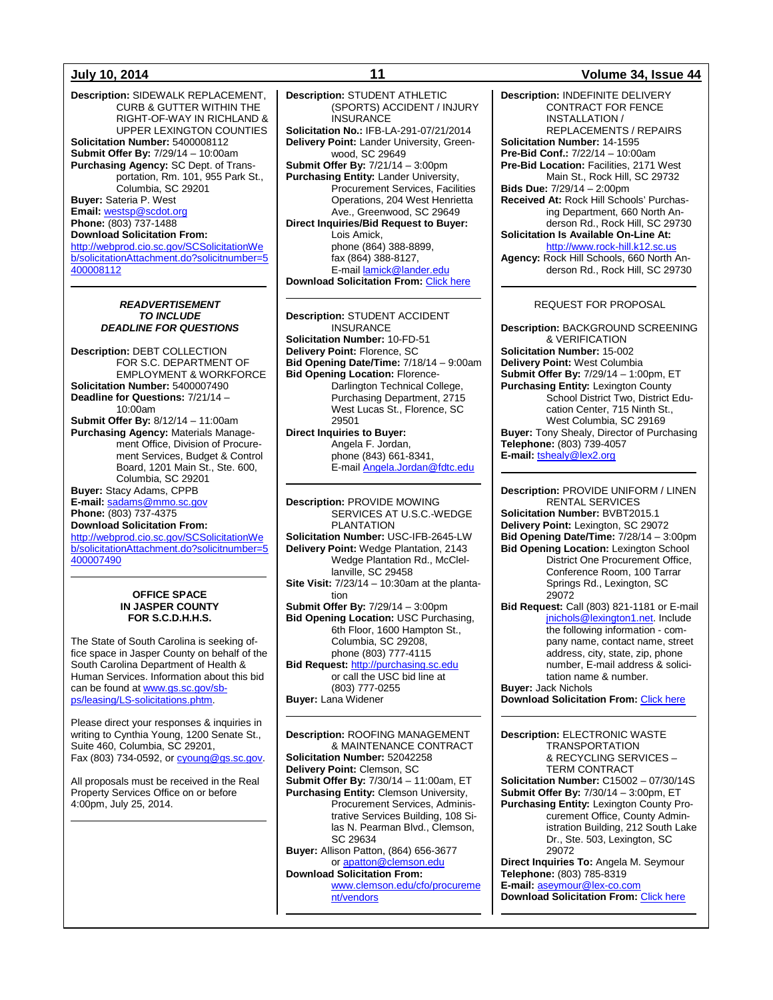**Description:** SIDEWALK REPLACEMENT, CURB & GUTTER WITHIN THE RIGHT-OF-WAY IN RICHLAND & UPPER LEXINGTON COUNTIES **Solicitation Number:** 5400008112 **Submit Offer By:** 7/29/14 – 10:00am **Purchasing Agency:** SC Dept. of Transportation, Rm. 101, 955 Park St., Columbia, SC 29201 **Buyer:** Sateria P. West **Email:** [westsp@scdot.org](mailto:westsp@scdot.org) **Phone:** (803) 737-1488 **Download Solicitation From:** [http://webprod.cio.sc.gov/SCSolicitationWe](http://webprod.cio.sc.gov/SCSolicitationWeb/solicitationAttachment.do?solicitnumber=5400008112) [b/solicitationAttachment.do?solicitnumber=5](http://webprod.cio.sc.gov/SCSolicitationWeb/solicitationAttachment.do?solicitnumber=5400008112) [400008112](http://webprod.cio.sc.gov/SCSolicitationWeb/solicitationAttachment.do?solicitnumber=5400008112)

#### *READVERTISEMENT TO INCLUDE DEADLINE FOR QUESTIONS*

**Description:** DEBT COLLECTION FOR S.C. DEPARTMENT OF EMPLOYMENT & WORKFORCE **Solicitation Number:** 5400007490 **Deadline for Questions:** 7/21/14 – 10:00am **Submit Offer By:** 8/12/14 – 11:00am **Purchasing Agency:** Materials Management Office, Division of Procurement Services, Budget & Control Board, 1201 Main St., Ste. 600, Columbia, SC 29201 **Buyer:** Stacy Adams, CPPB **E-mail:** [sadams@mmo.sc.gov](mailto:sadams@mmo.sc.gov) **Phone:** (803) 737-4375 **Download Solicitation From:**

[http://webprod.cio.sc.gov/SCSolicitationWe](http://webprod.cio.sc.gov/SCSolicitationWeb/solicitationAttachment.do?solicitnumber=5400007490) [b/solicitationAttachment.do?solicitnumber=5](http://webprod.cio.sc.gov/SCSolicitationWeb/solicitationAttachment.do?solicitnumber=5400007490) [400007490](http://webprod.cio.sc.gov/SCSolicitationWeb/solicitationAttachment.do?solicitnumber=5400007490)

#### **OFFICE SPACE IN JASPER COUNTY FOR S.C.D.H.H.S.**

The State of South Carolina is seeking office space in Jasper County on behalf of the South Carolina Department of Health & Human Services. Information about this bid can be found a[t www.gs.sc.gov/sb](http://www.gs.sc.gov/sb-ps/leasing/LS-solicitations.phtm)[ps/leasing/LS-solicitations.phtm.](http://www.gs.sc.gov/sb-ps/leasing/LS-solicitations.phtm)

Please direct your responses & inquiries in writing to Cynthia Young, 1200 Senate St., Suite 460, Columbia, SC 29201, Fax (803) 734-0592, o[r cyoung@gs.sc.gov.](mailto:cyoung@gs.sc.gov)

All proposals must be received in the Real Property Services Office on or before 4:00pm, July 25, 2014.

**Description:** STUDENT ATHLETIC (SPORTS) ACCIDENT / INJURY **INSURANCE Solicitation No.:** IFB-LA-291-07/21/2014 **Delivery Point:** Lander University, Greenwood, SC 29649 **Submit Offer By:** 7/21/14 – 3:00pm **Purchasing Entity:** Lander University, Procurement Services, Facilities Operations, 204 West Henrietta Ave., Greenwood, SC 29649 **Direct Inquiries/Bid Request to Buyer:** .<br>Lois Amick, phone (864) 388-8899, fax (864) 388-8127, E-mai[l lamick@lander.edu](mailto:lamick@lander.edu) **Download Solicitation From: [Click here](http://www.lander.edu/Business-Administration/Procurement-Services/Solicitations.aspx)** 

**Description:** STUDENT ACCIDENT INSURANCE **Solicitation Number:** 10-FD-51 **Delivery Point:** Florence, SC **Bid Opening Date/Time:** 7/18/14 – 9:00am **Bid Opening Location:** Florence-Darlington Technical College, Purchasing Department, 2715 West Lucas St., Florence, SC 29501 **Direct Inquiries to Buyer:** Angela F. Jordan,

phone (843) 661-8341, .<br>E-mai[l Angela.Jordan@fdtc.edu](mailto:Angela.Jordan@fdtc.edu)

**Description:** PROVIDE MOWING SERVICES AT U.S.C.-WEDGE PLANTATION **Solicitation Number:** USC-IFB-2645-LW **Delivery Point:** Wedge Plantation, 2143 Wedge Plantation Rd., McClellanville, SC 29458 **Site Visit:** 7/23/14 – 10:30am at the plantation **Submit Offer By:** 7/29/14 – 3:00pm **Bid Opening Location:** USC Purchasing, 6th Floor, 1600 Hampton St., Columbia, SC 29208, phone (803) 777-4115 **Bid Request:** [http://purchasing.sc.edu](http://purchasing.sc.edu/) or call the USC bid line at

(803) 777-0255 **Buyer:** Lana Widener

**Description:** ROOFING MANAGEMENT & MAINTENANCE CONTRACT **Solicitation Number:** 52042258 **Delivery Point:** Clemson, SC **Submit Offer By:** 7/30/14 – 11:00am, ET **Purchasing Entity:** Clemson University, Procurement Services, Administrative Services Building, 108 Silas N. Pearman Blvd., Clemson, SC 29634 **Buyer:** Allison Patton, (864) 656-3677 or [apatton@clemson.edu](mailto:apatton@clemson.edu) **Download Solicitation From:** [www.clemson.edu/cfo/procureme](http://www.clemson.edu/cfo/procurement/vendors) [nt/vendors](http://www.clemson.edu/cfo/procurement/vendors)

#### **July 10, 2014 11 Volume 34, Issue 44**

**Description:** INDEFINITE DELIVERY CONTRACT FOR FENCE INSTALLATION / REPLACEMENTS / REPAIRS **Solicitation Number:** 14-1595 **Pre-Bid Conf.:** 7/22/14 – 10:00am **Pre-Bid Location:** Facilities, 2171 West Main St., Rock Hill, SC 29732 **Bids Due:** 7/29/14 – 2:00pm **Received At:** Rock Hill Schools' Purchasing Department, 660 North Anderson Rd., Rock Hill, SC 29730 **Solicitation Is Available On-Line At:** [http://www.rock-hill.k12.sc.us](http://www.rock-hill.k12.sc.us/) **Agency:** Rock Hill Schools, 660 North Anderson Rd., Rock Hill, SC 29730

#### REQUEST FOR PROPOSAL

**Description:** BACKGROUND SCREENING & VERIFICATION **Solicitation Number:** 15-002 **Delivery Point:** West Columbia **Submit Offer By:** 7/29/14 – 1:00pm, ET **Purchasing Entity:** Lexington County School District Two, District Education Center, 715 Ninth St., West Columbia, SC 29169 **Buyer:** Tony Shealy, Director of Purchasing **Telephone:** (803) 739-4057 **E-mail:** [tshealy@lex2.org](mailto:tshealy@lex2.org)

**Description:** PROVIDE UNIFORM / LINEN RENTAL SERVICES **Solicitation Number:** BVBT2015.1 **Delivery Point:** Lexington, SC 29072 **Bid Opening Date/Time:** 7/28/14 – 3:00pm **Bid Opening Location:** Lexington School District One Procurement Office, Conference Room, 100 Tarrar Springs Rd., Lexington, SC 29072 **Bid Request:** Call (803) 821-1181 or E-mail [jnichols@lexington1.net.](mailto:jnichols@lexington1.net) Include the following information - company name, contact name, street address, city, state, zip, phone

tation name & number. **Buyer:** Jack Nichols

number, E-mail address & solici-

**Download Solicitation From: [Click here](http://www.lexington1.net/lexoneweb/index.aspx?page=FiscalServices/Procurement/Procurementsolicitawards.aspx)** 

**Description:** ELECTRONIC WASTE TRANSPORTATION & RECYCLING SERVICES – TERM CONTRACT **Solicitation Number:** C15002 – 07/30/14S **Submit Offer By:** 7/30/14 – 3:00pm, ET **Purchasing Entity:** Lexington County Procurement Office, County Administration Building, 212 South Lake Dr., Ste. 503, Lexington, SC 29072 **Direct Inquiries To:** Angela M. Seymour **Telephone:** (803) 785-8319

**E-mail:** [aseymour@lex-co.com](mailto:aseymour@lex-co.com) **Download Solicitation From: [Click here](http://www.lex-co.sc.gov/departments/DeptIQ/procurement/Pages/BidOpportunities.aspx)**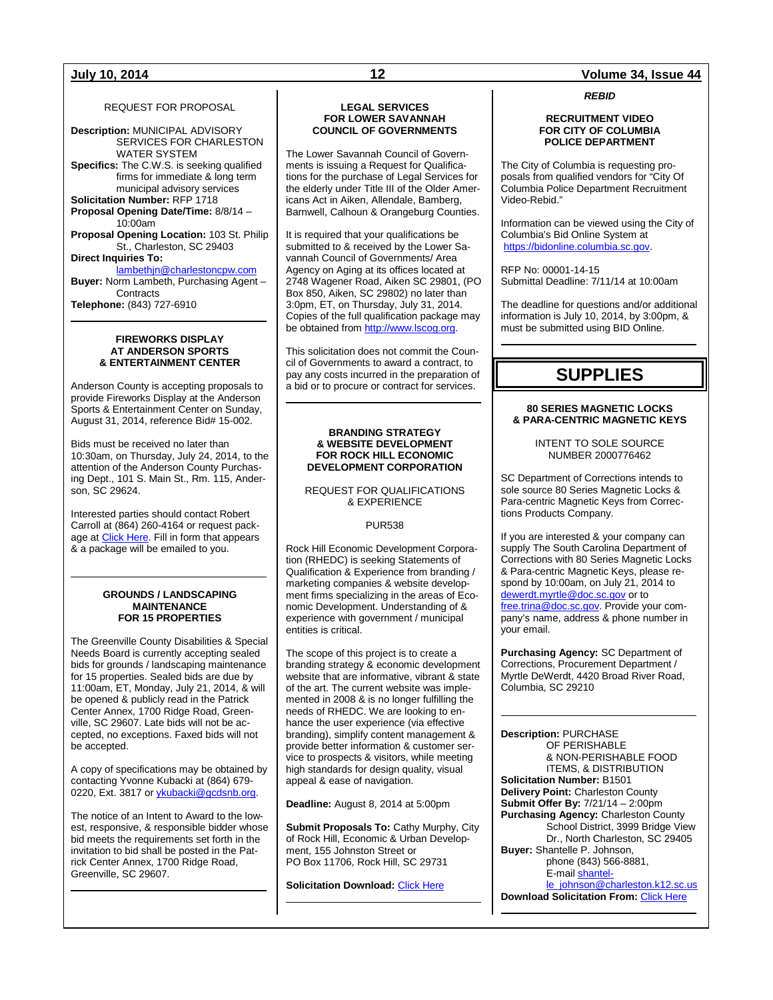#### REQUEST FOR PROPOSAL

**Description:** MUNICIPAL ADVISORY SERVICES FOR CHARLESTON WATER SYSTEM **Specifics:** The C.W.S. is seeking qualified firms for immediate & long term municipal advisory services **Solicitation Number:** RFP 1718 **Proposal Opening Date/Time:** 8/8/14 – 10:00am **Proposal Opening Location:** 103 St. Philip St., Charleston, SC 29403 **Direct Inquiries To:** [lambethjn@charlestoncpw.com](mailto:lambethjn@charlestoncpw.com) **Buyer:** Norm Lambeth, Purchasing Agent – **Contracts** 

**Telephone:** (843) 727-6910

#### **FIREWORKS DISPLAY AT ANDERSON SPORTS & ENTERTAINMENT CENTER**

Anderson County is accepting proposals to provide Fireworks Display at the Anderson Sports & Entertainment Center on Sunday, August 31, 2014, reference Bid# 15-002.

Bids must be received no later than 10:30am, on Thursday, July 24, 2014, to the attention of the Anderson County Purchasing Dept., 101 S. Main St., Rm. 115, Anderson, SC 29624.

Interested parties should contact Robert Carroll at (864) 260-4164 or request package a[t Click Here.](http://www.andersoncountysc.org/WEB/Purchasing_01.asp) Fill in form that appears & a package will be emailed to you.

#### **GROUNDS / LANDSCAPING MAINTENANCE FOR 15 PROPERTIES**

The Greenville County Disabilities & Special Needs Board is currently accepting sealed bids for grounds / landscaping maintenance for 15 properties. Sealed bids are due by 11:00am, ET, Monday, July 21, 2014, & will be opened & publicly read in the Patrick Center Annex, 1700 Ridge Road, Greenville, SC 29607. Late bids will not be accepted, no exceptions. Faxed bids will not be accepted.

A copy of specifications may be obtained by contacting Yvonne Kubacki at (864) 679- 0220, Ext. 3817 or *ykubacki@gcdsnb.org*.

The notice of an Intent to Award to the lowest, responsive, & responsible bidder whose bid meets the requirements set forth in the invitation to bid shall be posted in the Patrick Center Annex, 1700 Ridge Road, Greenville, SC 29607.

### **LEGAL SERVICES FOR LOWER SAVANNAH COUNCIL OF GOVERNMENTS**

The Lower Savannah Council of Governments is issuing a Request for Qualifications for the purchase of Legal Services for the elderly under Title III of the Older Americans Act in Aiken, Allendale, Bamberg, Barnwell, Calhoun & Orangeburg Counties.

It is required that your qualifications be submitted to & received by the Lower Savannah Council of Governments/ Area Agency on Aging at its offices located at 2748 Wagener Road, Aiken SC 29801, (PO Box 850, Aiken, SC 29802) no later than 3:0pm, ET, on Thursday, July 31, 2014. Copies of the full qualification package may be obtained from [http://www.lscog.org.](http://www.lscog.org/)

This solicitation does not commit the Council of Governments to award a contract, to pay any costs incurred in the preparation of a bid or to procure or contract for services.

#### **BRANDING STRATEGY & WEBSITE DEVELOPMENT FOR ROCK HILL ECONOMIC DEVELOPMENT CORPORATION**

REQUEST FOR QUALIFICATIONS & EXPERIENCE

#### PUR538

Rock Hill Economic Development Corporation (RHEDC) is seeking Statements of Qualification & Experience from branding / marketing companies & website development firms specializing in the areas of Economic Development. Understanding of & experience with government / municipal entities is critical.

The scope of this project is to create a branding strategy & economic development website that are informative, vibrant & state of the art. The current website was implemented in 2008 & is no longer fulfilling the needs of RHEDC. We are looking to enhance the user experience (via effective branding), simplify content management & provide better information & customer service to prospects & visitors, while meeting high standards for design quality, visual appeal & ease of navigation.

**Deadline:** August 8, 2014 at 5:00pm

**Submit Proposals To:** Cathy Murphy, City of Rock Hill, Economic & Urban Development, 155 Johnston Street or PO Box 11706, Rock Hill, SC 29731

**Solicitation Download: [Click Here](http://cityofrockhill.com/departments/general-government/purchasing/bids-proposal-requests)** 

### **July 10, 2014 12 Volume 34, Issue 44**

*REBID*

#### **RECRUITMENT VIDEO FOR CITY OF COLUMBIA POLICE DEPARTMENT**

The City of Columbia is requesting proposals from qualified vendors for "City Of Columbia Police Department Recruitment Video-Rebid."

Information can be viewed using the City of Columbia's Bid Online System at [https://bidonline.columbia.sc.gov.](https://bidonline.columbia.sc.gov/)

RFP No: 00001-14-15 Submittal Deadline: 7/11/14 at 10:00am

The deadline for questions and/or additional information is July 10, 2014, by 3:00pm, & must be submitted using BID Online.

## **SUPPLIES**

#### **80 SERIES MAGNETIC LOCKS & PARA-CENTRIC MAGNETIC KEYS**

INTENT TO SOLE SOURCE NUMBER 2000776462

SC Department of Corrections intends to sole source 80 Series Magnetic Locks & Para-centric Magnetic Keys from Corrections Products Company.

If you are interested & your company can supply The South Carolina Department of Corrections with 80 Series Magnetic Locks & Para-centric Magnetic Keys, please respond by 10:00am, on July 21, 2014 to [dewerdt.myrtle@doc.sc.gov](mailto:DEWERDT.MYRTLE@DOC.SC.GOV)</u> or to [free.trina@doc.sc.gov.](mailto:FREE.TRINA@DOC.SC.GOV) Provide your company's name, address & phone number in your email.

**Purchasing Agency:** SC Department of Corrections, Procurement Department / Myrtle DeWerdt, 4420 Broad River Road, Columbia, SC 29210

**Description:** PURCHASE OF PERISHABLE & NON-PERISHABLE FOOD ITEMS, & DISTRIBUTION **Solicitation Number:** B1501 **Delivery Point:** Charleston County **Submit Offer By:** 7/21/14 – 2:00pm **Purchasing Agency:** Charleston County School District, 3999 Bridge View Dr., North Charleston, SC 29405 **Buyer:** Shantelle P. Johnson, phone (843) 566-8881, E-mai[l shantel](mailto:shantelle_johnson@charleston.k12.sc.us)[le\\_johnson@charleston.k12.sc.us](mailto:shantelle_johnson@charleston.k12.sc.us) **Download Solicitation From: [Click Here](http://www.ccsdschools.com/OperationsHumansCapitalFacilities/FinanceOperations/ContractsProcurement/SuppliesServicesSolicitations/index.php)**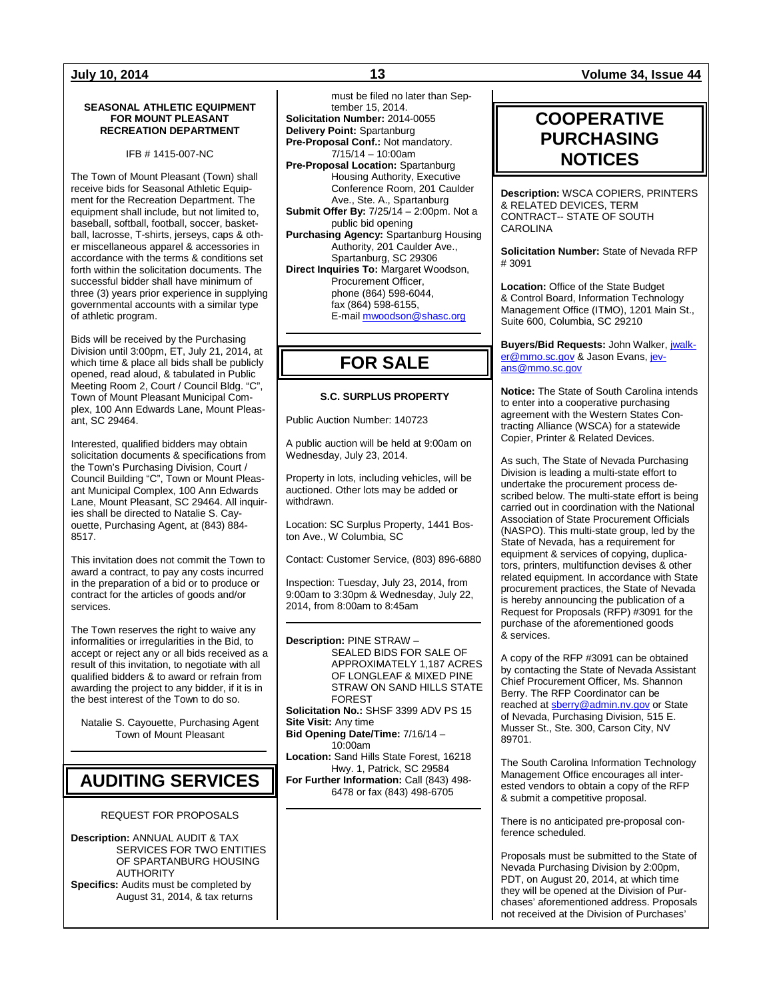#### **SEASONAL ATHLETIC EQUIPMENT FOR MOUNT PLEASANT RECREATION DEPARTMENT**

IFB # 1415-007-NC

The Town of Mount Pleasant (Town) shall receive bids for Seasonal Athletic Equipment for the Recreation Department. The equipment shall include, but not limited to, baseball, softball, football, soccer, basketball, lacrosse, T-shirts, jerseys, caps & other miscellaneous apparel & accessories in accordance with the terms & conditions set forth within the solicitation documents. The successful bidder shall have minimum of three (3) years prior experience in supplying governmental accounts with a similar type of athletic program.

Bids will be received by the Purchasing Division until 3:00pm, ET, July 21, 2014, at which time & place all bids shall be publicly opened, read aloud, & tabulated in Public Meeting Room 2, Court / Council Bldg. "C", Town of Mount Pleasant Municipal Complex, 100 Ann Edwards Lane, Mount Pleasant, SC 29464.

Interested, qualified bidders may obtain solicitation documents & specifications from the Town's Purchasing Division, Court / Council Building "C", Town or Mount Pleasant Municipal Complex, 100 Ann Edwards Lane, Mount Pleasant, SC 29464. All inquiries shall be directed to Natalie S. Cayouette, Purchasing Agent, at (843) 884- 8517.

This invitation does not commit the Town to award a contract, to pay any costs incurred in the preparation of a bid or to produce or contract for the articles of goods and/or services.

The Town reserves the right to waive any informalities or irregularities in the Bid, to accept or reject any or all bids received as a result of this invitation, to negotiate with all qualified bidders & to award or refrain from awarding the project to any bidder, if it is in the best interest of the Town to do so.

Natalie S. Cayouette, Purchasing Agent Town of Mount Pleasant

## **AUDITING SERVICES**

#### REQUEST FOR PROPOSALS

**Description:** ANNUAL AUDIT & TAX SERVICES FOR TWO ENTITIES OF SPARTANBURG HOUSING AUTHORITY **Specifics:** Audits must be completed by August 31, 2014, & tax returns

must be filed no later than September 15, 2014. **Solicitation Number:** 2014-0055 **Delivery Point:** Spartanburg **Pre-Proposal Conf.:** Not mandatory. 7/15/14 – 10:00am **Pre-Proposal Location:** Spartanburg Housing Authority, Executive Conference Room, 201 Caulder Ave., Ste. A., Spartanburg **Submit Offer By:** 7/25/14 – 2:00pm. Not a public bid opening **Purchasing Agency:** Spartanburg Housing Authority, 201 Caulder Ave., Spartanburg, SC 29306 **Direct Inquiries To:** Margaret Woodson, Procurement Officer, phone (864) 598-6044, fax (864) 598-6155, E-mai[l mwoodson@shasc.org](mailto:mwoodson@shasc.org)

## **FOR SALE**

### **S.C. SURPLUS PROPERTY**

Public Auction Number: 140723

A public auction will be held at 9:00am on Wednesday, July 23, 2014.

Property in lots, including vehicles, will be auctioned. Other lots may be added or withdrawn.

Location: SC Surplus Property, 1441 Boston Ave., W Columbia, SC

Contact: Customer Service, (803) 896-6880

Inspection: Tuesday, July 23, 2014, from 9:00am to 3:30pm & Wednesday, July 22, 2014, from 8:00am to 8:45am

**Description:** PINE STRAW – SEALED BIDS FOR SALE OF APPROXIMATELY 1,187 ACRES OF LONGLEAF & MIXED PINE STRAW ON SAND HILLS STATE FOREST

**Solicitation No.:** SHSF 3399 ADV PS 15 **Site Visit:** Any time

**Bid Opening Date/Time:** 7/16/14 – 10:00am

**Location:** Sand Hills State Forest, 16218 Hwy. 1, Patrick, SC 29584

**For Further Information:** Call (843) 498- 6478 or fax (843) 498-6705

### **July 10, 2014 13 Volume 34, Issue 44**

## **COOPERATIVE PURCHASING NOTICES**

**Description:** WSCA COPIERS, PRINTERS & RELATED DEVICES, TERM CONTRACT-- STATE OF SOUTH CAROLINA

**Solicitation Number:** State of Nevada RFP # 3091

**Location:** Office of the State Budget & Control Board, Information Technology Management Office (ITMO), 1201 Main St., Suite 600, Columbia, SC 29210

**Buyers/Bid Requests:** John Walker, [jwalk](mailto:jwalker@mmo.sc.gov)[er@mmo.sc.gov](mailto:jwalker@mmo.sc.gov) & Jason Evans[, jev](mailto:jevans@mmo.sc.gov)[ans@mmo.sc.gov](mailto:jevans@mmo.sc.gov)

**Notice:** The State of South Carolina intends to enter into a cooperative purchasing agreement with the Western States Contracting Alliance (WSCA) for a statewide Copier, Printer & Related Devices.

As such, The State of Nevada Purchasing Division is leading a multi-state effort to undertake the procurement process described below. The multi-state effort is being carried out in coordination with the National Association of State Procurement Officials (NASPO). This multi-state group, led by the State of Nevada, has a requirement for equipment & services of copying, duplicators, printers, multifunction devises & other related equipment. In accordance with State procurement practices, the State of Nevada is hereby announcing the publication of a Request for Proposals (RFP) #3091 for the purchase of the aforementioned goods & services.

A copy of the RFP #3091 can be obtained by contacting the State of Nevada Assistant Chief Procurement Officer, Ms. Shannon Berry. The RFP Coordinator can be reached at [sberry@admin.nv.gov](mailto:sberry@admin.nv.gov) or State of Nevada, Purchasing Division, 515 E. Musser St., Ste. 300, Carson City, NV 89701.

The South Carolina Information Technology Management Office encourages all interested vendors to obtain a copy of the RFP & submit a competitive proposal.

There is no anticipated pre-proposal conference scheduled.

Proposals must be submitted to the State of Nevada Purchasing Division by 2:00pm, PDT, on August 20, 2014, at which time they will be opened at the Division of Purchases' aforementioned address. Proposals not received at the Division of Purchases'